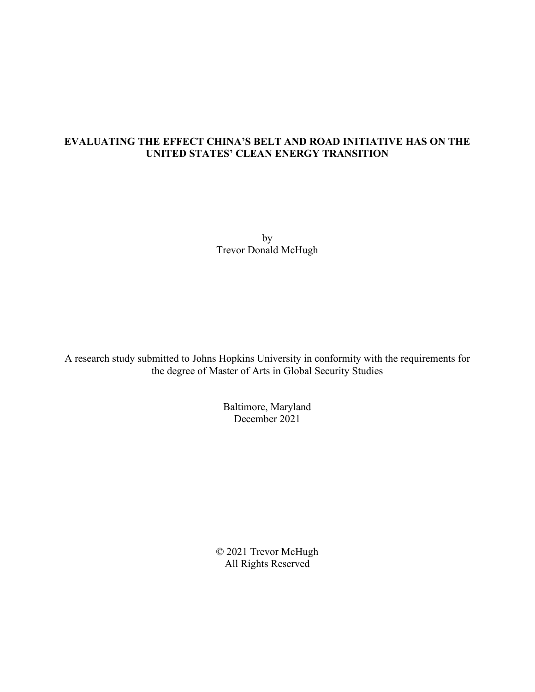# **EVALUATING THE EFFECT CHINA'S BELT AND ROAD INITIATIVE HAS ON THE UNITED STATES' CLEAN ENERGY TRANSITION**

by Trevor Donald McHugh

A research study submitted to Johns Hopkins University in conformity with the requirements for the degree of Master of Arts in Global Security Studies

> Baltimore, Maryland December 2021

© 2021 Trevor McHugh All Rights Reserved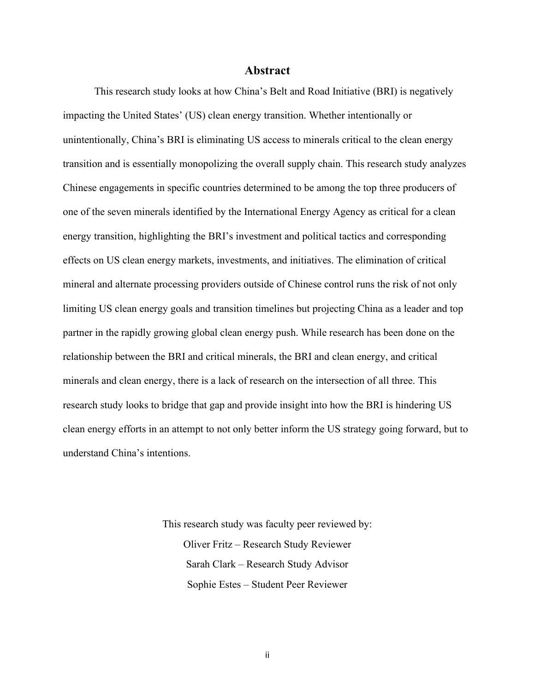#### **Abstract**

This research study looks at how China's Belt and Road Initiative (BRI) is negatively impacting the United States' (US) clean energy transition. Whether intentionally or unintentionally, China's BRI is eliminating US access to minerals critical to the clean energy transition and is essentially monopolizing the overall supply chain. This research study analyzes Chinese engagements in specific countries determined to be among the top three producers of one of the seven minerals identified by the International Energy Agency as critical for a clean energy transition, highlighting the BRI's investment and political tactics and corresponding effects on US clean energy markets, investments, and initiatives. The elimination of critical mineral and alternate processing providers outside of Chinese control runs the risk of not only limiting US clean energy goals and transition timelines but projecting China as a leader and top partner in the rapidly growing global clean energy push. While research has been done on the relationship between the BRI and critical minerals, the BRI and clean energy, and critical minerals and clean energy, there is a lack of research on the intersection of all three. This research study looks to bridge that gap and provide insight into how the BRI is hindering US clean energy efforts in an attempt to not only better inform the US strategy going forward, but to understand China's intentions.

> This research study was faculty peer reviewed by: Oliver Fritz – Research Study Reviewer Sarah Clark – Research Study Advisor Sophie Estes – Student Peer Reviewer

> > ii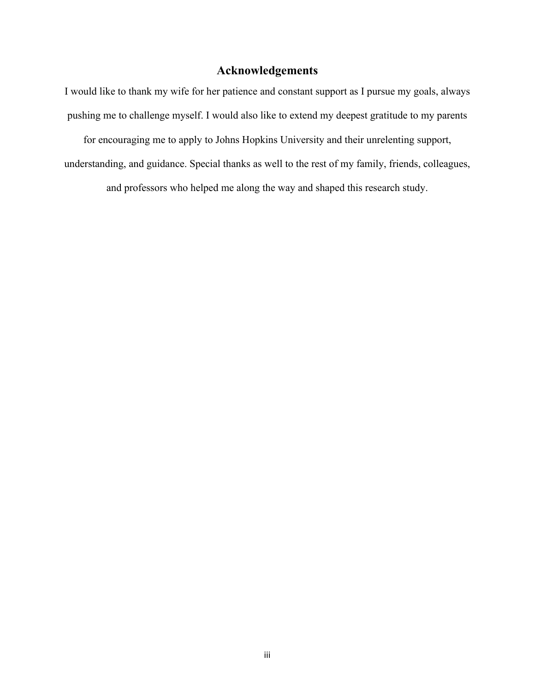# **Acknowledgements**

I would like to thank my wife for her patience and constant support as I pursue my goals, always pushing me to challenge myself. I would also like to extend my deepest gratitude to my parents for encouraging me to apply to Johns Hopkins University and their unrelenting support, understanding, and guidance. Special thanks as well to the rest of my family, friends, colleagues,

and professors who helped me along the way and shaped this research study.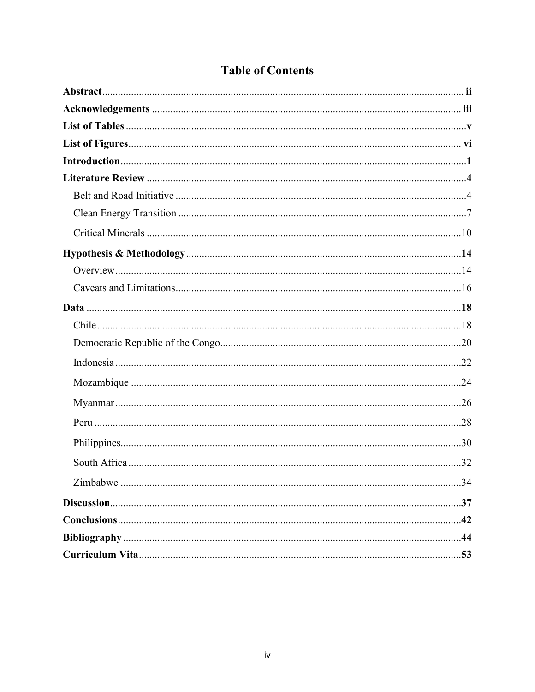| <b>Table of Contents</b> |
|--------------------------|
|--------------------------|

| $\overline{a}$ and $\overline{a}$ |
|-----------------------------------|
|                                   |
|                                   |
|                                   |
|                                   |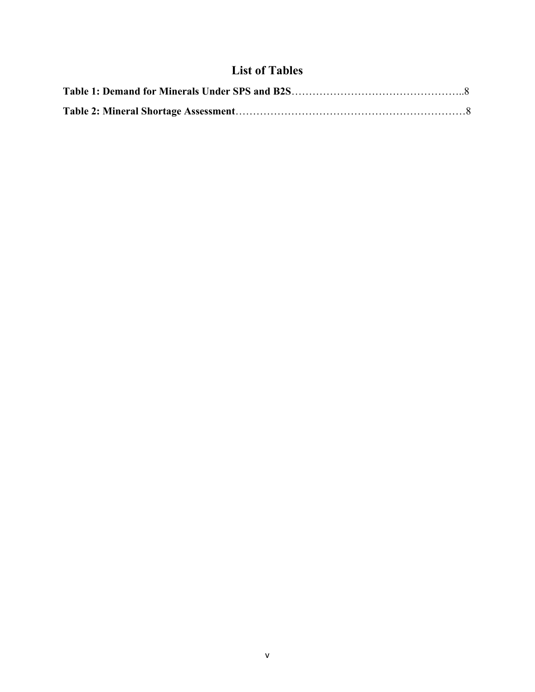# **List of Tables**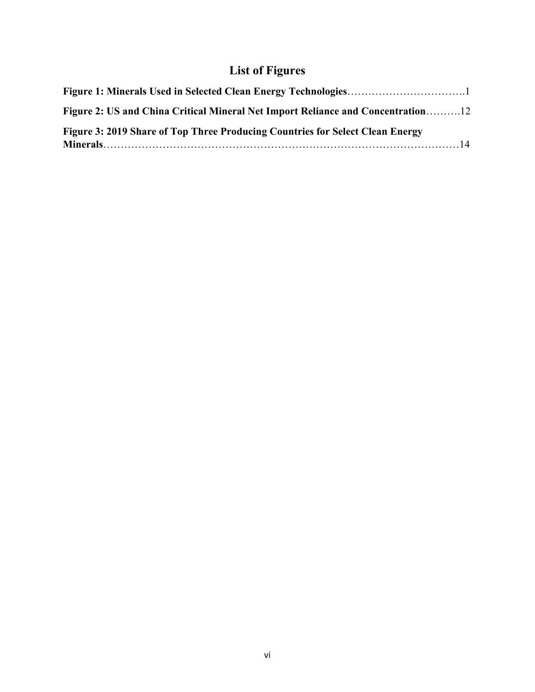# **List of Figures**

| Figure 2: US and China Critical Mineral Net Import Reliance and Concentration12 |
|---------------------------------------------------------------------------------|
| Figure 3: 2019 Share of Top Three Producing Countries for Select Clean Energy   |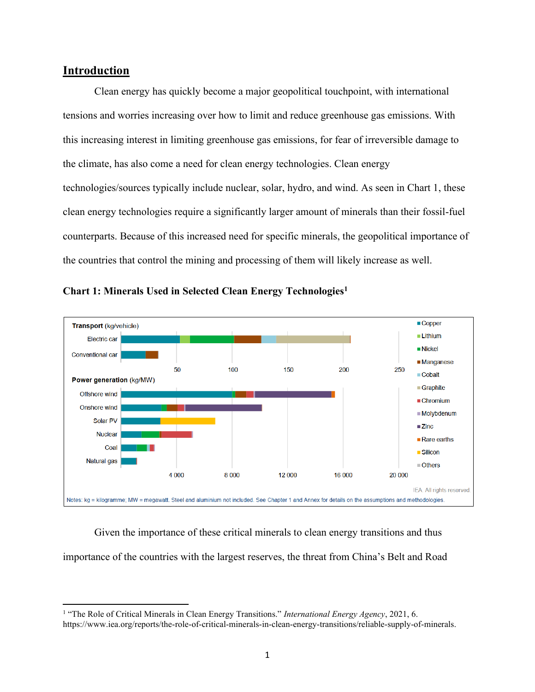# **Introduction**

Clean energy has quickly become a major geopolitical touchpoint, with international tensions and worries increasing over how to limit and reduce greenhouse gas emissions. With this increasing interest in limiting greenhouse gas emissions, for fear of irreversible damage to the climate, has also come a need for clean energy technologies. Clean energy technologies/sources typically include nuclear, solar, hydro, and wind. As seen in Chart 1, these clean energy technologies require a significantly larger amount of minerals than their fossil-fuel counterparts. Because of this increased need for specific minerals, the geopolitical importance of the countries that control the mining and processing of them will likely increase as well.





Given the importance of these critical minerals to clean energy transitions and thus importance of the countries with the largest reserves, the threat from China's Belt and Road

<sup>&</sup>lt;sup>1</sup> "The Role of Critical Minerals in Clean Energy Transitions." *International Energy Agency*, 2021, 6. https://www.iea.org/reports/the-role-of-critical-minerals-in-clean-energy-transitions/reliable-supply-of-minerals.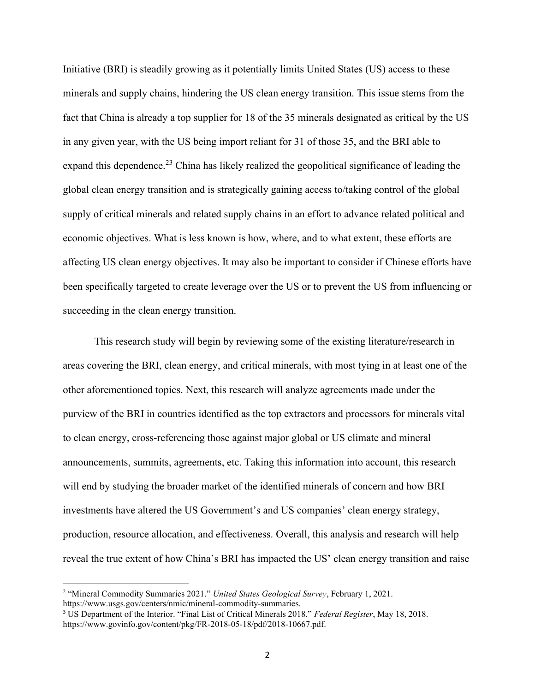Initiative (BRI) is steadily growing as it potentially limits United States (US) access to these minerals and supply chains, hindering the US clean energy transition. This issue stems from the fact that China is already a top supplier for 18 of the 35 minerals designated as critical by the US in any given year, with the US being import reliant for 31 of those 35, and the BRI able to expand this dependence.<sup>23</sup> China has likely realized the geopolitical significance of leading the global clean energy transition and is strategically gaining access to/taking control of the global supply of critical minerals and related supply chains in an effort to advance related political and economic objectives. What is less known is how, where, and to what extent, these efforts are affecting US clean energy objectives. It may also be important to consider if Chinese efforts have been specifically targeted to create leverage over the US or to prevent the US from influencing or succeeding in the clean energy transition.

This research study will begin by reviewing some of the existing literature/research in areas covering the BRI, clean energy, and critical minerals, with most tying in at least one of the other aforementioned topics. Next, this research will analyze agreements made under the purview of the BRI in countries identified as the top extractors and processors for minerals vital to clean energy, cross-referencing those against major global or US climate and mineral announcements, summits, agreements, etc. Taking this information into account, this research will end by studying the broader market of the identified minerals of concern and how BRI investments have altered the US Government's and US companies' clean energy strategy, production, resource allocation, and effectiveness. Overall, this analysis and research will help reveal the true extent of how China's BRI has impacted the US' clean energy transition and raise

<sup>2</sup> "Mineral Commodity Summaries 2021." *United States Geological Survey*, February 1, 2021. https://www.usgs.gov/centers/nmic/mineral-commodity-summaries.

<sup>3</sup> US Department of the Interior. "Final List of Critical Minerals 2018." *Federal Register*, May 18, 2018. https://www.govinfo.gov/content/pkg/FR-2018-05-18/pdf/2018-10667.pdf.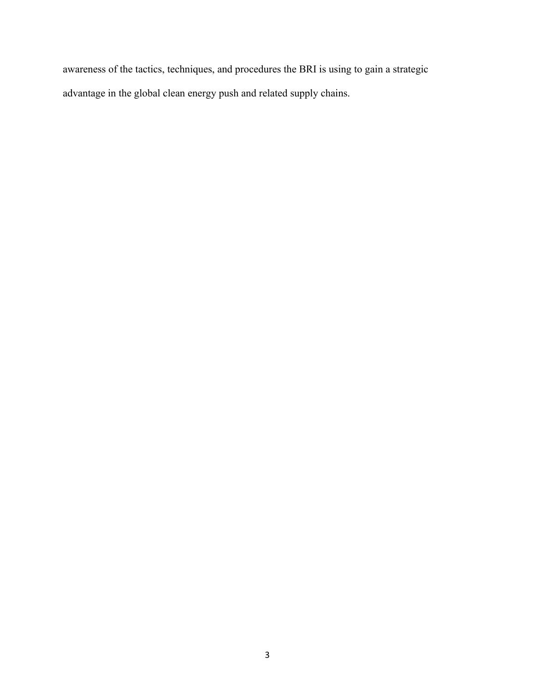awareness of the tactics, techniques, and procedures the BRI is using to gain a strategic advantage in the global clean energy push and related supply chains.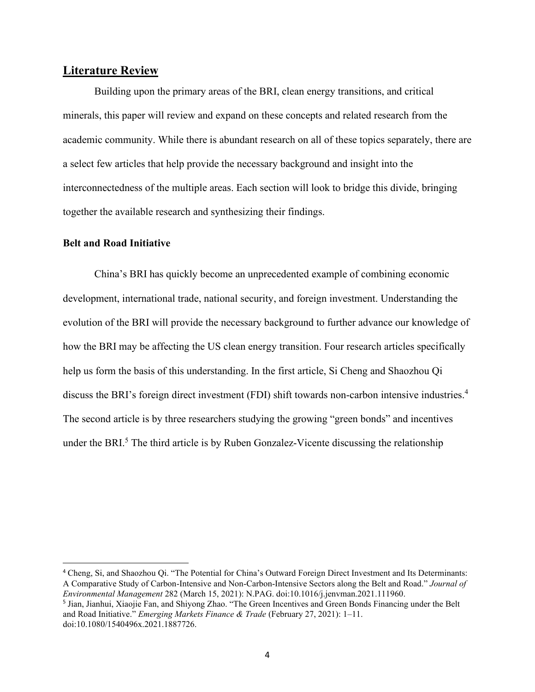## **Literature Review**

Building upon the primary areas of the BRI, clean energy transitions, and critical minerals, this paper will review and expand on these concepts and related research from the academic community. While there is abundant research on all of these topics separately, there are a select few articles that help provide the necessary background and insight into the interconnectedness of the multiple areas. Each section will look to bridge this divide, bringing together the available research and synthesizing their findings.

#### **Belt and Road Initiative**

China's BRI has quickly become an unprecedented example of combining economic development, international trade, national security, and foreign investment. Understanding the evolution of the BRI will provide the necessary background to further advance our knowledge of how the BRI may be affecting the US clean energy transition. Four research articles specifically help us form the basis of this understanding. In the first article, Si Cheng and Shaozhou Qi discuss the BRI's foreign direct investment (FDI) shift towards non-carbon intensive industries.<sup>4</sup> The second article is by three researchers studying the growing "green bonds" and incentives under the BRI. $<sup>5</sup>$  The third article is by Ruben Gonzalez-Vicente discussing the relationship</sup>

<sup>4</sup> Cheng, Si, and Shaozhou Qi. "The Potential for China's Outward Foreign Direct Investment and Its Determinants: A Comparative Study of Carbon-Intensive and Non-Carbon-Intensive Sectors along the Belt and Road." *Journal of Environmental Management* 282 (March 15, 2021): N.PAG. doi:10.1016/j.jenvman.2021.111960.

<sup>5</sup> Jian, Jianhui, Xiaojie Fan, and Shiyong Zhao. "The Green Incentives and Green Bonds Financing under the Belt and Road Initiative." *Emerging Markets Finance & Trade* (February 27, 2021): 1–11. doi:10.1080/1540496x.2021.1887726.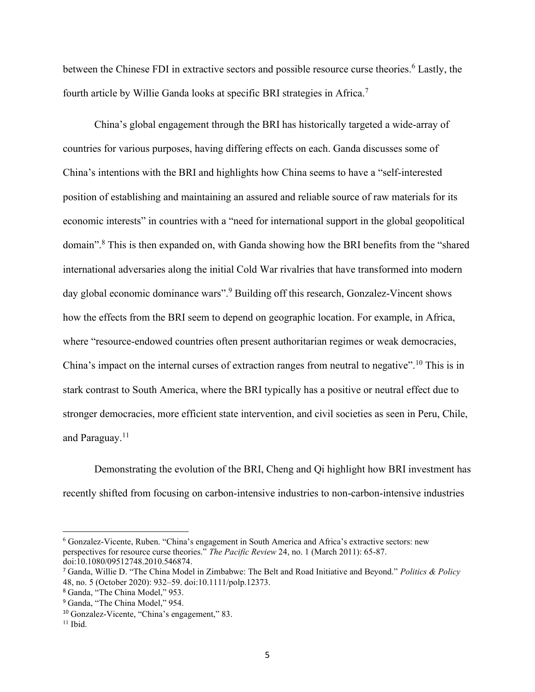between the Chinese FDI in extractive sectors and possible resource curse theories.<sup>6</sup> Lastly, the fourth article by Willie Ganda looks at specific BRI strategies in Africa.<sup>7</sup>

China's global engagement through the BRI has historically targeted a wide-array of countries for various purposes, having differing effects on each. Ganda discusses some of China's intentions with the BRI and highlights how China seems to have a "self-interested position of establishing and maintaining an assured and reliable source of raw materials for its economic interests" in countries with a "need for international support in the global geopolitical domain".<sup>8</sup> This is then expanded on, with Ganda showing how the BRI benefits from the "shared international adversaries along the initial Cold War rivalries that have transformed into modern day global economic dominance wars".<sup>9</sup> Building off this research, Gonzalez-Vincent shows how the effects from the BRI seem to depend on geographic location. For example, in Africa, where "resource-endowed countries often present authoritarian regimes or weak democracies, China's impact on the internal curses of extraction ranges from neutral to negative".<sup>10</sup> This is in stark contrast to South America, where the BRI typically has a positive or neutral effect due to stronger democracies, more efficient state intervention, and civil societies as seen in Peru, Chile, and Paraguay.<sup>11</sup>

Demonstrating the evolution of the BRI, Cheng and Qi highlight how BRI investment has recently shifted from focusing on carbon-intensive industries to non-carbon-intensive industries

<sup>6</sup> Gonzalez-Vicente, Ruben. "China's engagement in South America and Africa's extractive sectors: new perspectives for resource curse theories." *The Pacific Review* 24, no. 1 (March 2011): 65-87. doi:10.1080/09512748.2010.546874.

<sup>7</sup> Ganda, Willie D. "The China Model in Zimbabwe: The Belt and Road Initiative and Beyond." *Politics & Policy* 48, no. 5 (October 2020): 932–59. doi:10.1111/polp.12373.

<sup>8</sup> Ganda, "The China Model," 953.

<sup>&</sup>lt;sup>9</sup> Ganda, "The China Model," 954.

<sup>10</sup> Gonzalez-Vicente, "China's engagement," 83.

 $11$  Ibid.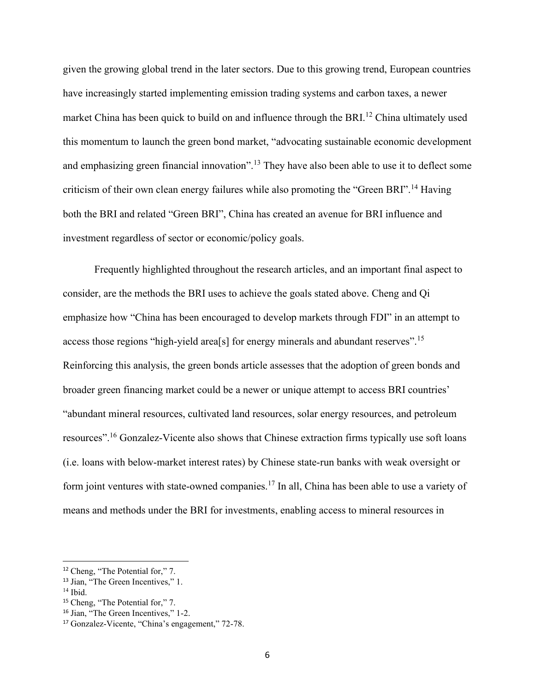given the growing global trend in the later sectors. Due to this growing trend, European countries have increasingly started implementing emission trading systems and carbon taxes, a newer market China has been quick to build on and influence through the BRI.<sup>12</sup> China ultimately used this momentum to launch the green bond market, "advocating sustainable economic development and emphasizing green financial innovation".<sup>13</sup> They have also been able to use it to deflect some criticism of their own clean energy failures while also promoting the "Green BRI".<sup>14</sup> Having both the BRI and related "Green BRI", China has created an avenue for BRI influence and investment regardless of sector or economic/policy goals.

Frequently highlighted throughout the research articles, and an important final aspect to consider, are the methods the BRI uses to achieve the goals stated above. Cheng and Qi emphasize how "China has been encouraged to develop markets through FDI" in an attempt to access those regions "high-yield area[s] for energy minerals and abundant reserves".<sup>15</sup> Reinforcing this analysis, the green bonds article assesses that the adoption of green bonds and broader green financing market could be a newer or unique attempt to access BRI countries' "abundant mineral resources, cultivated land resources, solar energy resources, and petroleum resources".<sup>16</sup> Gonzalez-Vicente also shows that Chinese extraction firms typically use soft loans (i.e. loans with below-market interest rates) by Chinese state-run banks with weak oversight or form joint ventures with state-owned companies.<sup>17</sup> In all, China has been able to use a variety of means and methods under the BRI for investments, enabling access to mineral resources in

<sup>12</sup> Cheng, "The Potential for," 7.

<sup>&</sup>lt;sup>13</sup> Jian, "The Green Incentives." 1.

 $14$  Ibid.

<sup>15</sup> Cheng, "The Potential for," 7.

<sup>16</sup> Jian, "The Green Incentives," 1-2.

<sup>17</sup> Gonzalez-Vicente, "China's engagement," 72-78.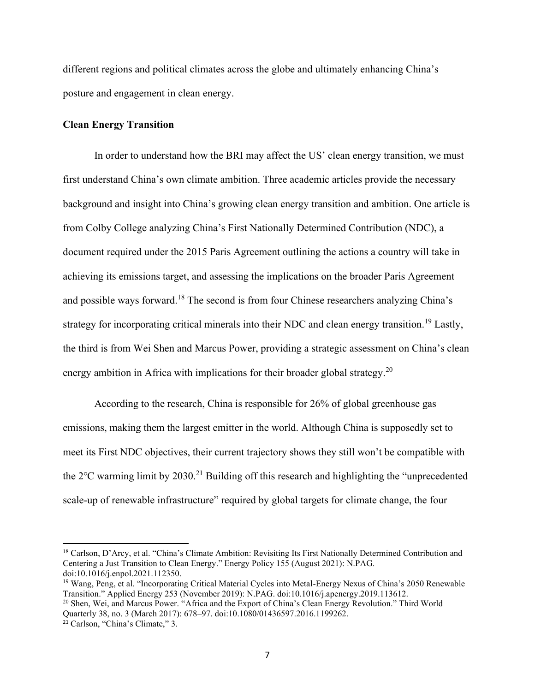different regions and political climates across the globe and ultimately enhancing China's posture and engagement in clean energy.

#### **Clean Energy Transition**

In order to understand how the BRI may affect the US' clean energy transition, we must first understand China's own climate ambition. Three academic articles provide the necessary background and insight into China's growing clean energy transition and ambition. One article is from Colby College analyzing China's First Nationally Determined Contribution (NDC), a document required under the 2015 Paris Agreement outlining the actions a country will take in achieving its emissions target, and assessing the implications on the broader Paris Agreement and possible ways forward.<sup>18</sup> The second is from four Chinese researchers analyzing China's strategy for incorporating critical minerals into their NDC and clean energy transition.<sup>19</sup> Lastly, the third is from Wei Shen and Marcus Power, providing a strategic assessment on China's clean energy ambition in Africa with implications for their broader global strategy.<sup>20</sup>

According to the research, China is responsible for 26% of global greenhouse gas emissions, making them the largest emitter in the world. Although China is supposedly set to meet its First NDC objectives, their current trajectory shows they still won't be compatible with the  $2^{\circ}$ C warming limit by  $2030$ <sup>21</sup> Building off this research and highlighting the "unprecedented" scale-up of renewable infrastructure" required by global targets for climate change, the four

<sup>18</sup> Carlson, D'Arcy, et al. "China's Climate Ambition: Revisiting Its First Nationally Determined Contribution and Centering a Just Transition to Clean Energy." Energy Policy 155 (August 2021): N.PAG. doi:10.1016/j.enpol.2021.112350.

<sup>19</sup> Wang, Peng, et al. "Incorporating Critical Material Cycles into Metal-Energy Nexus of China's 2050 Renewable Transition." Applied Energy 253 (November 2019): N.PAG. doi:10.1016/j.apenergy.2019.113612.

<sup>20</sup> Shen, Wei, and Marcus Power. "Africa and the Export of China's Clean Energy Revolution." Third World Quarterly 38, no. 3 (March 2017): 678–97. doi:10.1080/01436597.2016.1199262.

<sup>21</sup> Carlson, "China's Climate," 3.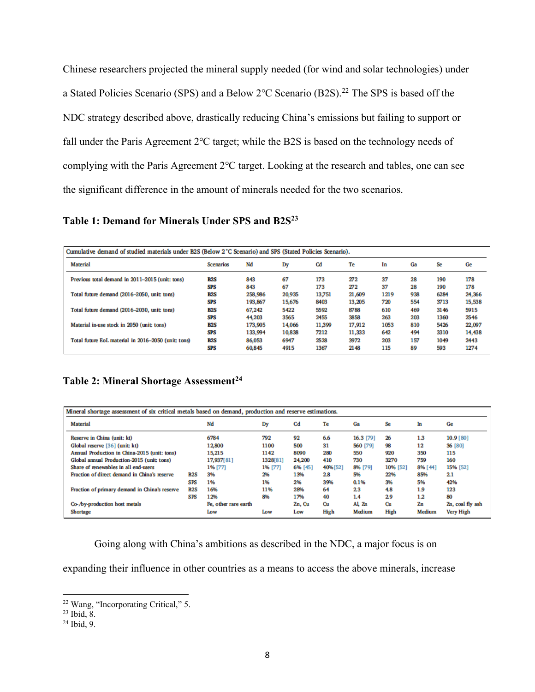Chinese researchers projected the mineral supply needed (for wind and solar technologies) under a Stated Policies Scenario (SPS) and a Below 2℃ Scenario (B2S).<sup>22</sup> The SPS is based off the NDC strategy described above, drastically reducing China's emissions but failing to support or fall under the Paris Agreement 2℃ target; while the B2S is based on the technology needs of complying with the Paris Agreement 2℃ target. Looking at the research and tables, one can see the significant difference in the amount of minerals needed for the two scenarios.

**Table 1: Demand for Minerals Under SPS and B2S<sup>23</sup>**

| Cumulative demand of studied materials under B2S (Below 2°C Scenario) and SPS (Stated Policies Scenario). |                  |         |        |        |        |      |     |      |        |  |
|-----------------------------------------------------------------------------------------------------------|------------------|---------|--------|--------|--------|------|-----|------|--------|--|
| <b>Material</b>                                                                                           | <b>Scenarios</b> | Nd      | Dy     | Cd     | Te     | In   | Gа  | Se   | Ge     |  |
| Previous total demand in 2011-2015 (unit: tons)                                                           | B <sub>2</sub> S | 843     | 67     | 173    | 272    | 37   | 28  | 190  | 178    |  |
|                                                                                                           | SPS              | 843     | 67     | 173    | 272    | 37   | 28  | 190  | 178    |  |
| Total future demand (2016-2050, unit: tons)                                                               | B <sub>2</sub> S | 258,986 | 20.935 | 13.751 | 21,609 | 1219 | 938 | 6284 | 24,366 |  |
|                                                                                                           | SPS              | 193,867 | 15,676 | 8403   | 13,205 | 720  | 554 | 3713 | 15,538 |  |
| Total future demand (2016-2030, unit: tons)                                                               | B2S              | 67,242  | 5422   | 5592   | 8788   | 610  | 469 | 3146 | 5915   |  |
|                                                                                                           | SPS              | 44,203  | 3565   | 2455   | 3858   | 263  | 203 | 1360 | 2546   |  |
| Material in-use stock in 2050 (unit: tons)                                                                | B <sub>2</sub> S | 173,905 | 14,066 | 11,399 | 17,912 | 1053 | 810 | 5426 | 22,097 |  |
|                                                                                                           | SPS              | 133,994 | 10.838 | 7212   | 11,333 | 642  | 494 | 3310 | 14,438 |  |
| Total future EoL material in 2016-2050 (unit: tons)                                                       | B <sub>2</sub> S | 86,053  | 6947   | 2528   | 3972   | 203  | 157 | 1049 | 2443   |  |
|                                                                                                           | SPS              | 60,845  | 4915   | 1367   | 2148   | 115  | 89  | 593  | 1274   |  |

**Table 2: Mineral Shortage Assessment 24**

| Mineral shortage assessment of six critical metals based on demand, production and reserve estimations. |            |                      |          |         |         |           |          |         |                  |
|---------------------------------------------------------------------------------------------------------|------------|----------------------|----------|---------|---------|-----------|----------|---------|------------------|
| Material                                                                                                |            | Nd                   | Dy       | Cd      | Te      | Ga        | Se       | In      | Ge               |
| Reserve in China (unit: kt)                                                                             |            | 6784                 | 792      | 92      | 6.6     | 16.3 [79] | 26       | 1.3     | 10.9 [80]        |
| Global reserve [36] (unit: kt)                                                                          |            | 12,800               | 1100     | 500     | 31      | 560 [79]  | 98       | 12      | 36 [80]          |
| Annual Production in China-2015 (unit: tons)                                                            |            | 15.215               | 1142     | 8090    | 280     | 550       | 920      | 350     | 115              |
| Global annual Production-2015 (unit: tons)                                                              |            | 17,937[81]           | 1328[81] | 24,200  | 410     | 730       | 3270     | 759     | 160              |
| Share of renewables in all end-users                                                                    |            | 1% [77]              | 1% [77]  | 6% [45] | 40%[52] | 8% [79]   | 10% [52] | 8% [44] | 15% [52]         |
| Fraction of direct demand in China's reserve                                                            | B2S        | 3%                   | 2%       | 13%     | 2.8     | 5%        | 22%      | 85%     | 2.1              |
|                                                                                                         | <b>SPS</b> | 1%                   | 1%       | 2%      | 39%     | 0.1%      | 3%       | 5%      | 42%              |
| Fraction of primary demand in China's reserve                                                           | B2S        | 16%                  | 11%      | 28%     | 64      | 2.3       | 4.8      | 1.9     | 123              |
|                                                                                                         | <b>SPS</b> | 12%                  | 8%       | 17%     | 40      | 1.4       | 2.9      | 1.2     | 80               |
| Co-/by-production host metals                                                                           |            | Fe, other rare earth |          | Zn, Cu  | Cu      | Al Zn     | Cш       | Zn      | Zn, coal fly ash |
| Shortage                                                                                                |            | Low                  | Low      | Low     | High    | Medium    | High     | Medium  | Very High        |

Going along with China's ambitions as described in the NDC, a major focus is on

expanding their influence in other countries as a means to access the above minerals, increase

<sup>22</sup> Wang, "Incorporating Critical," 5.

 $^{23}$  Ibid, 8.

<sup>24</sup> Ibid, 9.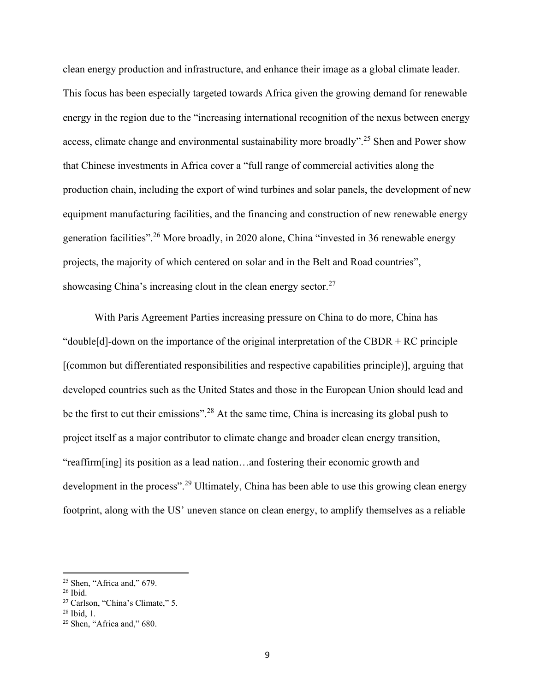clean energy production and infrastructure, and enhance their image as a global climate leader. This focus has been especially targeted towards Africa given the growing demand for renewable energy in the region due to the "increasing international recognition of the nexus between energy access, climate change and environmental sustainability more broadly".<sup>25</sup> Shen and Power show that Chinese investments in Africa cover a "full range of commercial activities along the production chain, including the export of wind turbines and solar panels, the development of new equipment manufacturing facilities, and the financing and construction of new renewable energy generation facilities".<sup>26</sup> More broadly, in 2020 alone, China "invested in 36 renewable energy projects, the majority of which centered on solar and in the Belt and Road countries", showcasing China's increasing clout in the clean energy sector.<sup>27</sup>

With Paris Agreement Parties increasing pressure on China to do more, China has "double[d]-down on the importance of the original interpretation of the CBDR  $+$  RC principle [(common but differentiated responsibilities and respective capabilities principle)], arguing that developed countries such as the United States and those in the European Union should lead and be the first to cut their emissions".<sup>28</sup> At the same time, China is increasing its global push to project itself as a major contributor to climate change and broader clean energy transition, "reaffirm[ing] its position as a lead nation…and fostering their economic growth and development in the process".<sup>29</sup> Ultimately, China has been able to use this growing clean energy footprint, along with the US' uneven stance on clean energy, to amplify themselves as a reliable

 $25$  Shen, "Africa and," 679.

 $26$  Ibid.

<sup>27</sup> Carlson, "China's Climate," 5.

<sup>28</sup> Ibid, 1.

<sup>29</sup> Shen, "Africa and," 680.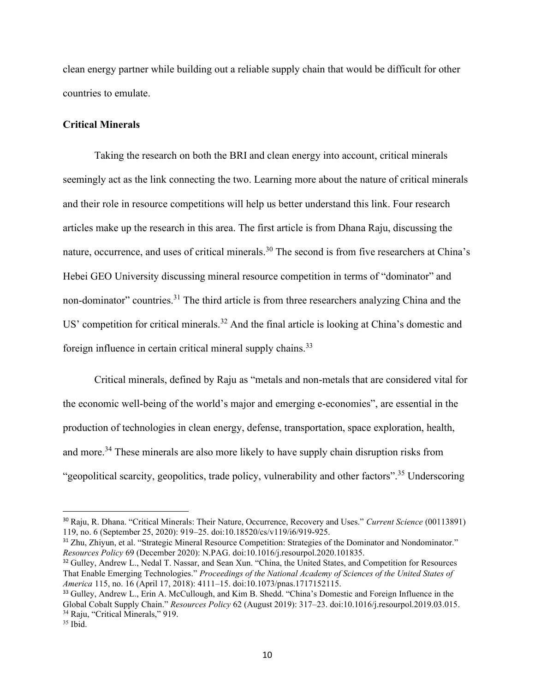clean energy partner while building out a reliable supply chain that would be difficult for other countries to emulate.

#### **Critical Minerals**

Taking the research on both the BRI and clean energy into account, critical minerals seemingly act as the link connecting the two. Learning more about the nature of critical minerals and their role in resource competitions will help us better understand this link. Four research articles make up the research in this area. The first article is from Dhana Raju, discussing the nature, occurrence, and uses of critical minerals.<sup>30</sup> The second is from five researchers at China's Hebei GEO University discussing mineral resource competition in terms of "dominator" and non-dominator" countries.<sup>31</sup> The third article is from three researchers analyzing China and the US' competition for critical minerals.<sup>32</sup> And the final article is looking at China's domestic and foreign influence in certain critical mineral supply chains.<sup>33</sup>

Critical minerals, defined by Raju as "metals and non-metals that are considered vital for the economic well-being of the world's major and emerging e-economies", are essential in the production of technologies in clean energy, defense, transportation, space exploration, health, and more.<sup>34</sup> These minerals are also more likely to have supply chain disruption risks from "geopolitical scarcity, geopolitics, trade policy, vulnerability and other factors".<sup>35</sup> Underscoring

<sup>30</sup> Raju, R. Dhana. "Critical Minerals: Their Nature, Occurrence, Recovery and Uses." *Current Science* (00113891) 119, no. 6 (September 25, 2020): 919–25. doi:10.18520/cs/v119/i6/919-925.

<sup>31</sup> Zhu, Zhiyun, et al. "Strategic Mineral Resource Competition: Strategies of the Dominator and Nondominator." *Resources Policy* 69 (December 2020): N.PAG. doi:10.1016/j.resourpol.2020.101835.

<sup>&</sup>lt;sup>32</sup> Gulley, Andrew L., Nedal T. Nassar, and Sean Xun. "China, the United States, and Competition for Resources That Enable Emerging Technologies." *Proceedings of the National Academy of Sciences of the United States of America* 115, no. 16 (April 17, 2018): 4111–15. doi:10.1073/pnas.1717152115.

<sup>&</sup>lt;sup>33</sup> Gulley, Andrew L., Erin A. McCullough, and Kim B. Shedd. "China's Domestic and Foreign Influence in the Global Cobalt Supply Chain." *Resources Policy* 62 (August 2019): 317–23. doi:10.1016/j.resourpol.2019.03.015. <sup>34</sup> Raju, "Critical Minerals," 919.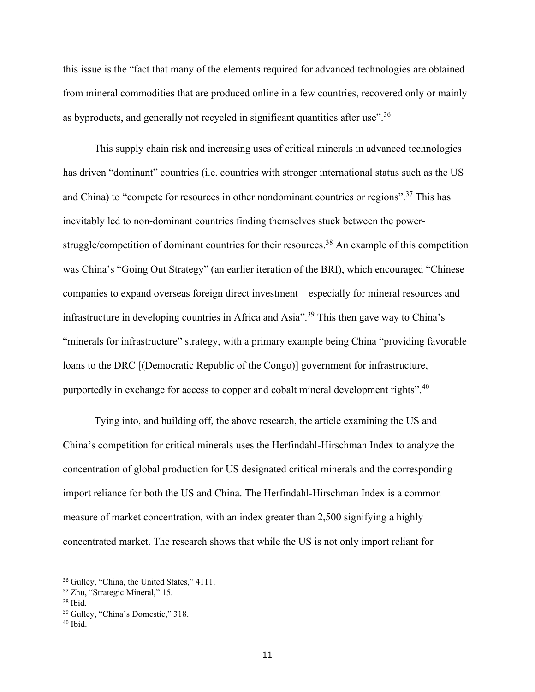this issue is the "fact that many of the elements required for advanced technologies are obtained from mineral commodities that are produced online in a few countries, recovered only or mainly as byproducts, and generally not recycled in significant quantities after use".<sup>36</sup>

This supply chain risk and increasing uses of critical minerals in advanced technologies has driven "dominant" countries (i.e. countries with stronger international status such as the US and China) to "compete for resources in other nondominant countries or regions".<sup>37</sup> This has inevitably led to non-dominant countries finding themselves stuck between the powerstruggle/competition of dominant countries for their resources.<sup>38</sup> An example of this competition was China's "Going Out Strategy" (an earlier iteration of the BRI), which encouraged "Chinese companies to expand overseas foreign direct investment—especially for mineral resources and infrastructure in developing countries in Africa and Asia".<sup>39</sup> This then gave way to China's "minerals for infrastructure" strategy, with a primary example being China "providing favorable loans to the DRC [(Democratic Republic of the Congo)] government for infrastructure, purportedly in exchange for access to copper and cobalt mineral development rights".<sup>40</sup>

Tying into, and building off, the above research, the article examining the US and China's competition for critical minerals uses the Herfindahl-Hirschman Index to analyze the concentration of global production for US designated critical minerals and the corresponding import reliance for both the US and China. The Herfindahl-Hirschman Index is a common measure of market concentration, with an index greater than 2,500 signifying a highly concentrated market. The research shows that while the US is not only import reliant for

<sup>&</sup>lt;sup>36</sup> Gulley, "China, the United States," 4111.

<sup>37</sup> Zhu, "Strategic Mineral," 15.

<sup>38</sup> Ibid.

<sup>39</sup> Gulley, "China's Domestic," 318.

 $40$  Ibid.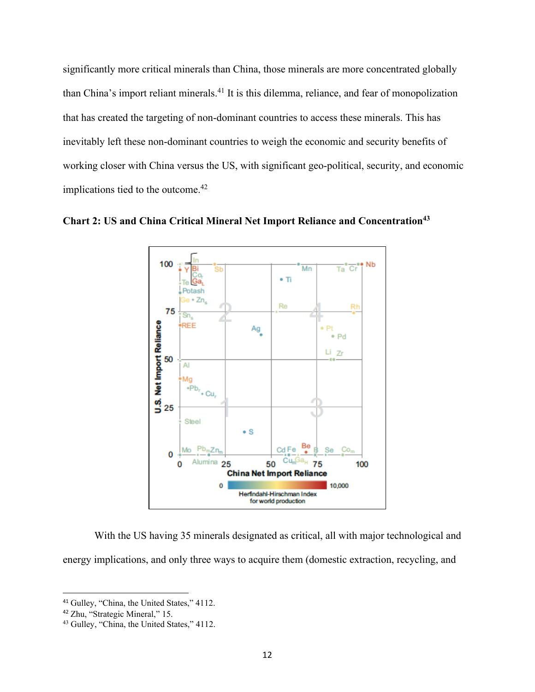significantly more critical minerals than China, those minerals are more concentrated globally than China's import reliant minerals.<sup>41</sup> It is this dilemma, reliance, and fear of monopolization that has created the targeting of non-dominant countries to access these minerals. This has inevitably left these non-dominant countries to weigh the economic and security benefits of working closer with China versus the US, with significant geo-political, security, and economic implications tied to the outcome.<sup>42</sup>





With the US having 35 minerals designated as critical, all with major technological and energy implications, and only three ways to acquire them (domestic extraction, recycling, and

<sup>41</sup> Gulley, "China, the United States," 4112.

<sup>42</sup> Zhu, "Strategic Mineral," 15.

<sup>43</sup> Gulley, "China, the United States," 4112.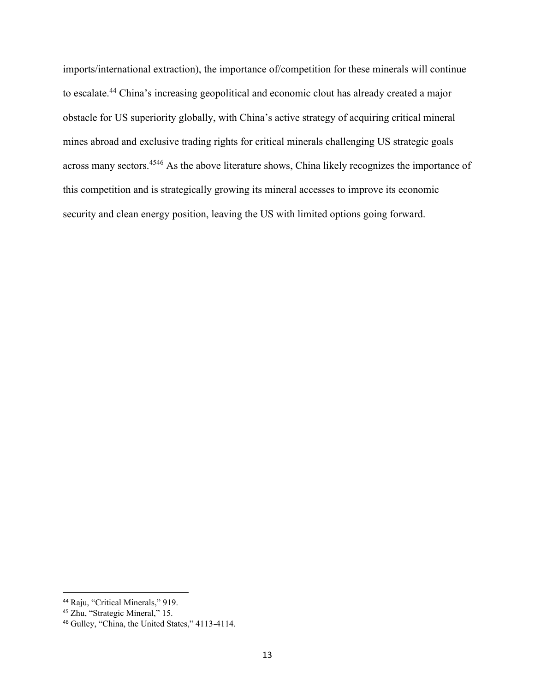imports/international extraction), the importance of/competition for these minerals will continue to escalate.<sup>44</sup> China's increasing geopolitical and economic clout has already created a major obstacle for US superiority globally, with China's active strategy of acquiring critical mineral mines abroad and exclusive trading rights for critical minerals challenging US strategic goals across many sectors.<sup>4546</sup> As the above literature shows, China likely recognizes the importance of this competition and is strategically growing its mineral accesses to improve its economic security and clean energy position, leaving the US with limited options going forward.

<sup>44</sup> Raju, "Critical Minerals," 919.

<sup>45</sup> Zhu, "Strategic Mineral," 15.

<sup>46</sup> Gulley, "China, the United States," 4113-4114.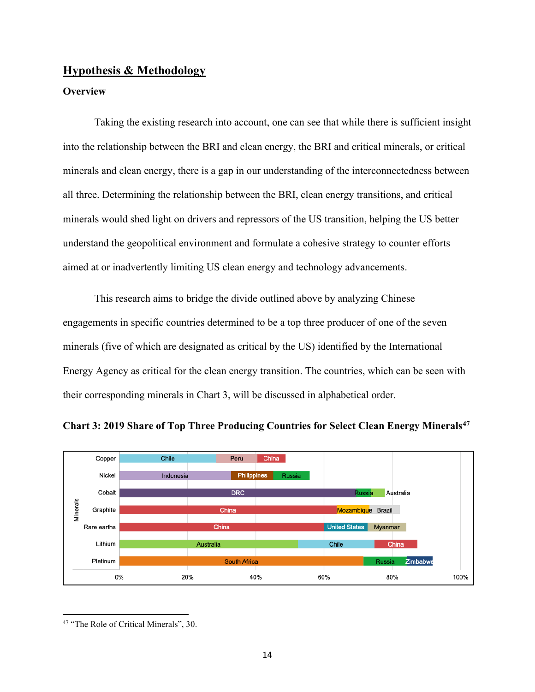## **Hypothesis & Methodology**

## **Overview**

Taking the existing research into account, one can see that while there is sufficient insight into the relationship between the BRI and clean energy, the BRI and critical minerals, or critical minerals and clean energy, there is a gap in our understanding of the interconnectedness between all three. Determining the relationship between the BRI, clean energy transitions, and critical minerals would shed light on drivers and repressors of the US transition, helping the US better understand the geopolitical environment and formulate a cohesive strategy to counter efforts aimed at or inadvertently limiting US clean energy and technology advancements.

This research aims to bridge the divide outlined above by analyzing Chinese engagements in specific countries determined to be a top three producer of one of the seven minerals (five of which are designated as critical by the US) identified by the International Energy Agency as critical for the clean energy transition. The countries, which can be seen with their corresponding minerals in Chart 3, will be discussed in alphabetical order.





<sup>&</sup>lt;sup>47</sup> "The Role of Critical Minerals", 30.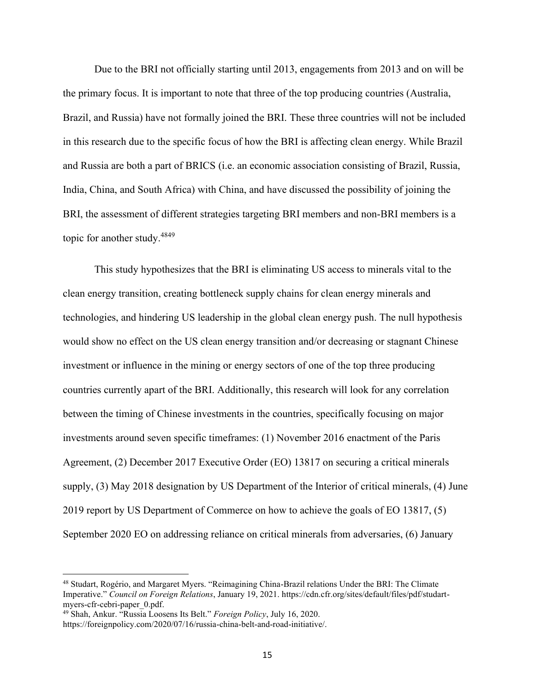Due to the BRI not officially starting until 2013, engagements from 2013 and on will be the primary focus. It is important to note that three of the top producing countries (Australia, Brazil, and Russia) have not formally joined the BRI. These three countries will not be included in this research due to the specific focus of how the BRI is affecting clean energy. While Brazil and Russia are both a part of BRICS (i.e. an economic association consisting of Brazil, Russia, India, China, and South Africa) with China, and have discussed the possibility of joining the BRI, the assessment of different strategies targeting BRI members and non-BRI members is a topic for another study.<sup>4849</sup>

This study hypothesizes that the BRI is eliminating US access to minerals vital to the clean energy transition, creating bottleneck supply chains for clean energy minerals and technologies, and hindering US leadership in the global clean energy push. The null hypothesis would show no effect on the US clean energy transition and/or decreasing or stagnant Chinese investment or influence in the mining or energy sectors of one of the top three producing countries currently apart of the BRI. Additionally, this research will look for any correlation between the timing of Chinese investments in the countries, specifically focusing on major investments around seven specific timeframes: (1) November 2016 enactment of the Paris Agreement, (2) December 2017 Executive Order (EO) 13817 on securing a critical minerals supply, (3) May 2018 designation by US Department of the Interior of critical minerals, (4) June 2019 report by US Department of Commerce on how to achieve the goals of EO 13817, (5) September 2020 EO on addressing reliance on critical minerals from adversaries, (6) January

<sup>48</sup> Studart, Rogério, and Margaret Myers. "Reimagining China-Brazil relations Under the BRI: The Climate Imperative." *Council on Foreign Relations*, January 19, 2021. https://cdn.cfr.org/sites/default/files/pdf/studartmyers-cfr-cebri-paper\_0.pdf.

<sup>49</sup> Shah, Ankur. "Russia Loosens Its Belt." *Foreign Policy*, July 16, 2020.

https://foreignpolicy.com/2020/07/16/russia-china-belt-and-road-initiative/.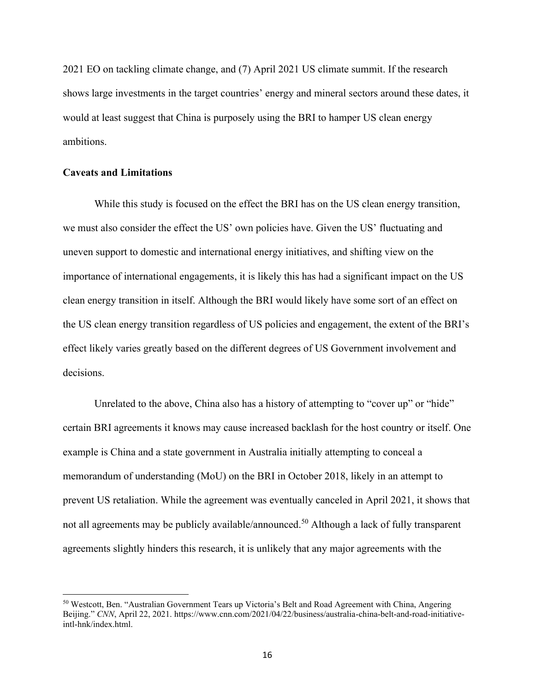2021 EO on tackling climate change, and (7) April 2021 US climate summit. If the research shows large investments in the target countries' energy and mineral sectors around these dates, it would at least suggest that China is purposely using the BRI to hamper US clean energy ambitions.

## **Caveats and Limitations**

While this study is focused on the effect the BRI has on the US clean energy transition, we must also consider the effect the US' own policies have. Given the US' fluctuating and uneven support to domestic and international energy initiatives, and shifting view on the importance of international engagements, it is likely this has had a significant impact on the US clean energy transition in itself. Although the BRI would likely have some sort of an effect on the US clean energy transition regardless of US policies and engagement, the extent of the BRI's effect likely varies greatly based on the different degrees of US Government involvement and decisions.

Unrelated to the above, China also has a history of attempting to "cover up" or "hide" certain BRI agreements it knows may cause increased backlash for the host country or itself. One example is China and a state government in Australia initially attempting to conceal a memorandum of understanding (MoU) on the BRI in October 2018, likely in an attempt to prevent US retaliation. While the agreement was eventually canceled in April 2021, it shows that not all agreements may be publicly available/announced.<sup>50</sup> Although a lack of fully transparent agreements slightly hinders this research, it is unlikely that any major agreements with the

<sup>50</sup> Westcott, Ben. "Australian Government Tears up Victoria's Belt and Road Agreement with China, Angering Beijing." *CNN*, April 22, 2021. https://www.cnn.com/2021/04/22/business/australia-china-belt-and-road-initiativeintl-hnk/index.html.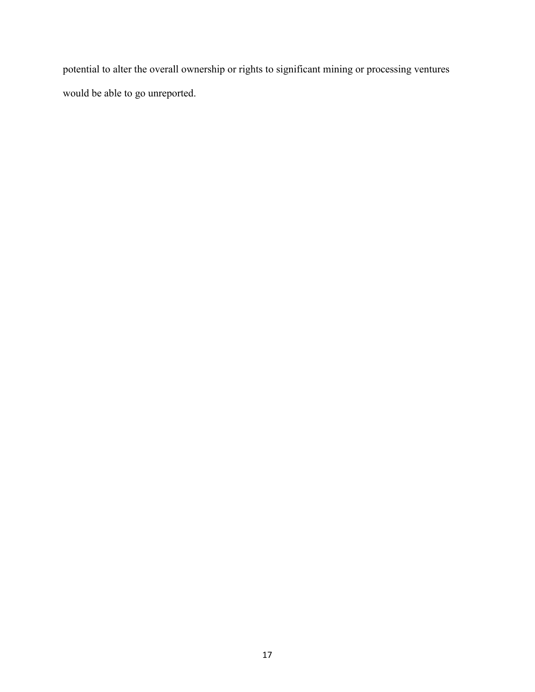potential to alter the overall ownership or rights to significant mining or processing ventures would be able to go unreported.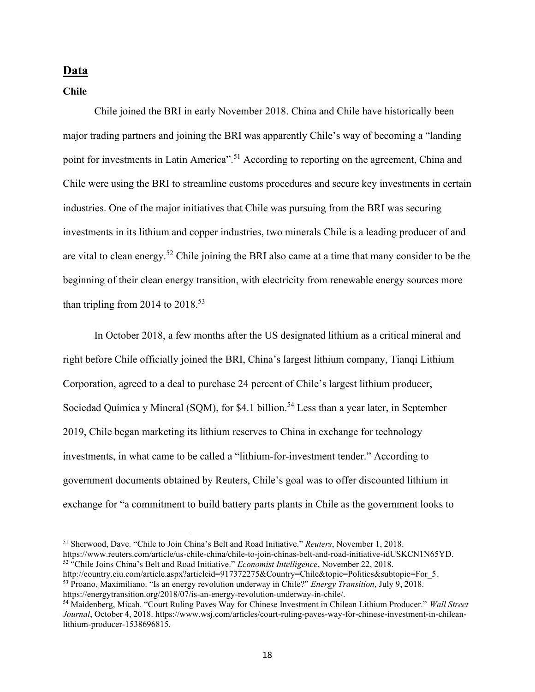## **Data**

**Chile**

Chile joined the BRI in early November 2018. China and Chile have historically been major trading partners and joining the BRI was apparently Chile's way of becoming a "landing point for investments in Latin America".<sup>51</sup> According to reporting on the agreement, China and Chile were using the BRI to streamline customs procedures and secure key investments in certain industries. One of the major initiatives that Chile was pursuing from the BRI was securing investments in its lithium and copper industries, two minerals Chile is a leading producer of and are vital to clean energy.<sup>52</sup> Chile joining the BRI also came at a time that many consider to be the beginning of their clean energy transition, with electricity from renewable energy sources more than tripling from 2014 to  $2018^{53}$ 

In October 2018, a few months after the US designated lithium as a critical mineral and right before Chile officially joined the BRI, China's largest lithium company, Tianqi Lithium Corporation, agreed to a deal to purchase 24 percent of Chile's largest lithium producer, Sociedad Química y Mineral (SQM), for \$4.1 billion.<sup>54</sup> Less than a year later, in September 2019, Chile began marketing its lithium reserves to China in exchange for technology investments, in what came to be called a "lithium-for-investment tender." According to government documents obtained by Reuters, Chile's goal was to offer discounted lithium in exchange for "a commitment to build battery parts plants in Chile as the government looks to

<sup>51</sup> Sherwood, Dave. "Chile to Join China's Belt and Road Initiative." *Reuters*, November 1, 2018. https://www.reuters.com/article/us-chile-china/chile-to-join-chinas-belt-and-road-initiative-idUSKCN1N65YD. <sup>52</sup> "Chile Joins China's Belt and Road Initiative." *Economist Intelligence*, November 22, 2018.

http://country.eiu.com/article.aspx?articleid=917372275&Country=Chile&topic=Politics&subtopic=For 5. <sup>53</sup> Proano, Maximiliano. "Is an energy revolution underway in Chile?" *Energy Transition*, July 9, 2018. https://energytransition.org/2018/07/is-an-energy-revolution-underway-in-chile/.

<sup>54</sup> Maidenberg, Micah. "Court Ruling Paves Way for Chinese Investment in Chilean Lithium Producer." *Wall Street Journal*, October 4, 2018. https://www.wsj.com/articles/court-ruling-paves-way-for-chinese-investment-in-chileanlithium-producer-1538696815.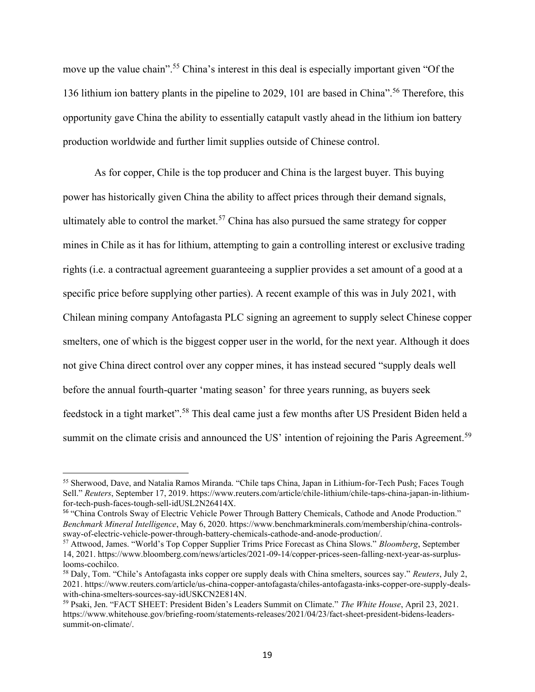move up the value chain".<sup>55</sup> China's interest in this deal is especially important given "Of the 136 lithium ion battery plants in the pipeline to 2029, 101 are based in China".<sup>56</sup> Therefore, this opportunity gave China the ability to essentially catapult vastly ahead in the lithium ion battery production worldwide and further limit supplies outside of Chinese control.

As for copper, Chile is the top producer and China is the largest buyer. This buying power has historically given China the ability to affect prices through their demand signals, ultimately able to control the market.<sup>57</sup> China has also pursued the same strategy for copper mines in Chile as it has for lithium, attempting to gain a controlling interest or exclusive trading rights (i.e. a contractual agreement guaranteeing a supplier provides a set amount of a good at a specific price before supplying other parties). A recent example of this was in July 2021, with Chilean mining company Antofagasta PLC signing an agreement to supply select Chinese copper smelters, one of which is the biggest copper user in the world, for the next year. Although it does not give China direct control over any copper mines, it has instead secured "supply deals well before the annual fourth-quarter 'mating season' for three years running, as buyers seek feedstock in a tight market".<sup>58</sup> This deal came just a few months after US President Biden held a summit on the climate crisis and announced the US' intention of rejoining the Paris Agreement.<sup>59</sup>

<sup>55</sup> Sherwood, Dave, and Natalia Ramos Miranda. "Chile taps China, Japan in Lithium-for-Tech Push; Faces Tough Sell." *Reuters*, September 17, 2019. https://www.reuters.com/article/chile-lithium/chile-taps-china-japan-in-lithiumfor-tech-push-faces-tough-sell-idUSL2N26414X.

<sup>56</sup> "China Controls Sway of Electric Vehicle Power Through Battery Chemicals, Cathode and Anode Production." *Benchmark Mineral Intelligence*, May 6, 2020. https://www.benchmarkminerals.com/membership/china-controlssway-of-electric-vehicle-power-through-battery-chemicals-cathode-and-anode-production/.

<sup>57</sup> Attwood, James. "World's Top Copper Supplier Trims Price Forecast as China Slows." *Bloomberg*, September 14, 2021. https://www.bloomberg.com/news/articles/2021-09-14/copper-prices-seen-falling-next-year-as-surpluslooms-cochilco.

<sup>58</sup> Daly, Tom. "Chile's Antofagasta inks copper ore supply deals with China smelters, sources say." *Reuters*, July 2, 2021. https://www.reuters.com/article/us-china-copper-antofagasta/chiles-antofagasta-inks-copper-ore-supply-dealswith-china-smelters-sources-say-idUSKCN2E814N.

<sup>59</sup> Psaki, Jen. "FACT SHEET: President Biden's Leaders Summit on Climate." *The White House*, April 23, 2021. https://www.whitehouse.gov/briefing-room/statements-releases/2021/04/23/fact-sheet-president-bidens-leaderssummit-on-climate/.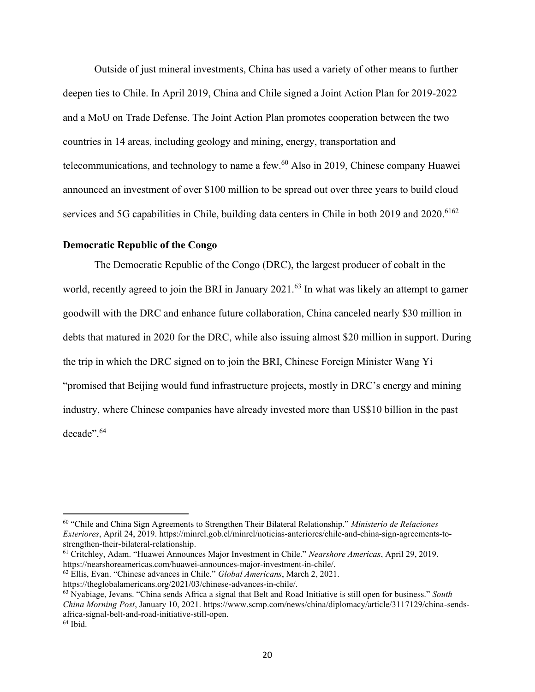Outside of just mineral investments, China has used a variety of other means to further deepen ties to Chile. In April 2019, China and Chile signed a Joint Action Plan for 2019-2022 and a MoU on Trade Defense. The Joint Action Plan promotes cooperation between the two countries in 14 areas, including geology and mining, energy, transportation and telecommunications, and technology to name a few. $60$  Also in 2019, Chinese company Huawei announced an investment of over \$100 million to be spread out over three years to build cloud services and 5G capabilities in Chile, building data centers in Chile in both 2019 and 2020.<sup>6162</sup>

## **Democratic Republic of the Congo**

The Democratic Republic of the Congo (DRC), the largest producer of cobalt in the world, recently agreed to join the BRI in January 2021.<sup>63</sup> In what was likely an attempt to garner goodwill with the DRC and enhance future collaboration, China canceled nearly \$30 million in debts that matured in 2020 for the DRC, while also issuing almost \$20 million in support. During the trip in which the DRC signed on to join the BRI, Chinese Foreign Minister Wang Yi "promised that Beijing would fund infrastructure projects, mostly in DRC's energy and mining industry, where Chinese companies have already invested more than US\$10 billion in the past decade".<sup>64</sup>

<sup>60</sup> "Chile and China Sign Agreements to Strengthen Their Bilateral Relationship." *Ministerio de Relaciones Exteriores*, April 24, 2019. https://minrel.gob.cl/minrel/noticias-anteriores/chile-and-china-sign-agreements-tostrengthen-their-bilateral-relationship.

<sup>61</sup> Critchley, Adam. "Huawei Announces Major Investment in Chile." *Nearshore Americas*, April 29, 2019. https://nearshoreamericas.com/huawei-announces-major-investment-in-chile/.

<sup>62</sup> Ellis, Evan. "Chinese advances in Chile." *Global Americans*, March 2, 2021.

https://theglobalamericans.org/2021/03/chinese-advances-in-chile/.

<sup>63</sup> Nyabiage, Jevans. "China sends Africa a signal that Belt and Road Initiative is still open for business." *South China Morning Post*, January 10, 2021. https://www.scmp.com/news/china/diplomacy/article/3117129/china-sendsafrica-signal-belt-and-road-initiative-still-open.  $64$  Ibid.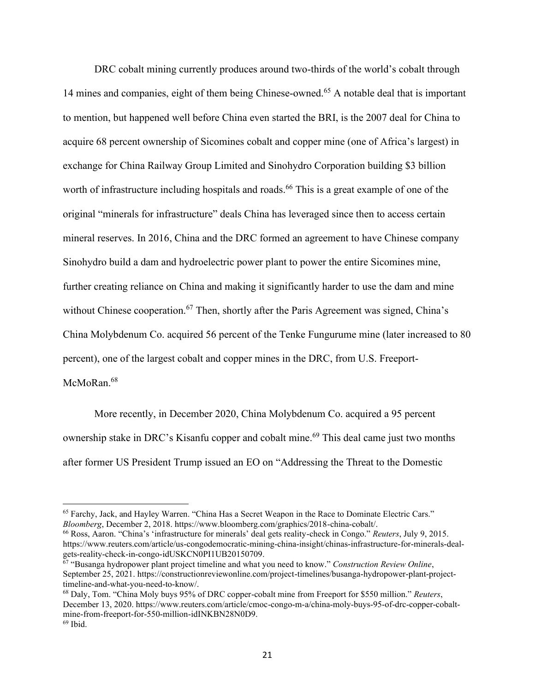DRC cobalt mining currently produces around two-thirds of the world's cobalt through 14 mines and companies, eight of them being Chinese-owned.<sup>65</sup> A notable deal that is important to mention, but happened well before China even started the BRI, is the 2007 deal for China to acquire 68 percent ownership of Sicomines cobalt and copper mine (one of Africa's largest) in exchange for China Railway Group Limited and Sinohydro Corporation building \$3 billion worth of infrastructure including hospitals and roads.<sup>66</sup> This is a great example of one of the original "minerals for infrastructure" deals China has leveraged since then to access certain mineral reserves. In 2016, China and the DRC formed an agreement to have Chinese company Sinohydro build a dam and hydroelectric power plant to power the entire Sicomines mine, further creating reliance on China and making it significantly harder to use the dam and mine without Chinese cooperation.<sup>67</sup> Then, shortly after the Paris Agreement was signed, China's China Molybdenum Co. acquired 56 percent of the Tenke Fungurume mine (later increased to 80 percent), one of the largest cobalt and copper mines in the DRC, from U.S. Freeport-McMoRan.<sup>68</sup>

More recently, in December 2020, China Molybdenum Co. acquired a 95 percent ownership stake in DRC's Kisanfu copper and cobalt mine. <sup>69</sup> This deal came just two months after former US President Trump issued an EO on "Addressing the Threat to the Domestic

<sup>66</sup> Ross, Aaron. "China's 'infrastructure for minerals' deal gets reality-check in Congo." *Reuters*, July 9, 2015. https://www.reuters.com/article/us-congodemocratic-mining-china-insight/chinas-infrastructure-for-minerals-dealgets-reality-check-in-congo-idUSKCN0PI1UB20150709.

<sup>65</sup> Farchy, Jack, and Hayley Warren. "China Has a Secret Weapon in the Race to Dominate Electric Cars." *Bloomberg*, December 2, 2018. https://www.bloomberg.com/graphics/2018-china-cobalt/.

<sup>67</sup> "Busanga hydropower plant project timeline and what you need to know." *Construction Review Online*, September 25, 2021. https://constructionreviewonline.com/project-timelines/busanga-hydropower-plant-projecttimeline-and-what-you-need-to-know/.

<sup>68</sup> Daly, Tom. "China Moly buys 95% of DRC copper-cobalt mine from Freeport for \$550 million." *Reuters*, December 13, 2020. https://www.reuters.com/article/cmoc-congo-m-a/china-moly-buys-95-of-drc-copper-cobaltmine-from-freeport-for-550-million-idINKBN28N0D9.  $69$  Ibid.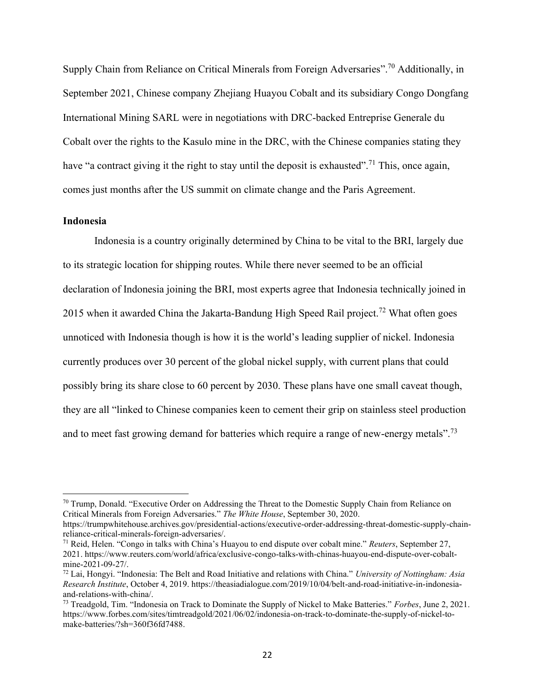Supply Chain from Reliance on Critical Minerals from Foreign Adversaries".<sup>70</sup> Additionally, in September 2021, Chinese company Zhejiang Huayou Cobalt and its subsidiary Congo Dongfang International Mining SARL were in negotiations with DRC-backed Entreprise Generale du Cobalt over the rights to the Kasulo mine in the DRC, with the Chinese companies stating they have "a contract giving it the right to stay until the deposit is exhausted".<sup>71</sup> This, once again, comes just months after the US summit on climate change and the Paris Agreement.

#### **Indonesia**

Indonesia is a country originally determined by China to be vital to the BRI, largely due to its strategic location for shipping routes. While there never seemed to be an official declaration of Indonesia joining the BRI, most experts agree that Indonesia technically joined in 2015 when it awarded China the Jakarta-Bandung High Speed Rail project.<sup>72</sup> What often goes unnoticed with Indonesia though is how it is the world's leading supplier of nickel. Indonesia currently produces over 30 percent of the global nickel supply, with current plans that could possibly bring its share close to 60 percent by 2030. These plans have one small caveat though, they are all "linked to Chinese companies keen to cement their grip on stainless steel production and to meet fast growing demand for batteries which require a range of new-energy metals".<sup>73</sup>

 $70$  Trump, Donald. "Executive Order on Addressing the Threat to the Domestic Supply Chain from Reliance on Critical Minerals from Foreign Adversaries." *The White House*, September 30, 2020.

https://trumpwhitehouse.archives.gov/presidential-actions/executive-order-addressing-threat-domestic-supply-chainreliance-critical-minerals-foreign-adversaries/.

<sup>71</sup> Reid, Helen. "Congo in talks with China's Huayou to end dispute over cobalt mine." *Reuters*, September 27, 2021. https://www.reuters.com/world/africa/exclusive-congo-talks-with-chinas-huayou-end-dispute-over-cobaltmine-2021-09-27/.

<sup>72</sup> Lai, Hongyi. "Indonesia: The Belt and Road Initiative and relations with China." *University of Nottingham: Asia Research Institute*, October 4, 2019. https://theasiadialogue.com/2019/10/04/belt-and-road-initiative-in-indonesiaand-relations-with-china/.

<sup>73</sup> Treadgold, Tim. "Indonesia on Track to Dominate the Supply of Nickel to Make Batteries." *Forbes*, June 2, 2021. https://www.forbes.com/sites/timtreadgold/2021/06/02/indonesia-on-track-to-dominate-the-supply-of-nickel-tomake-batteries/?sh=360f36fd7488.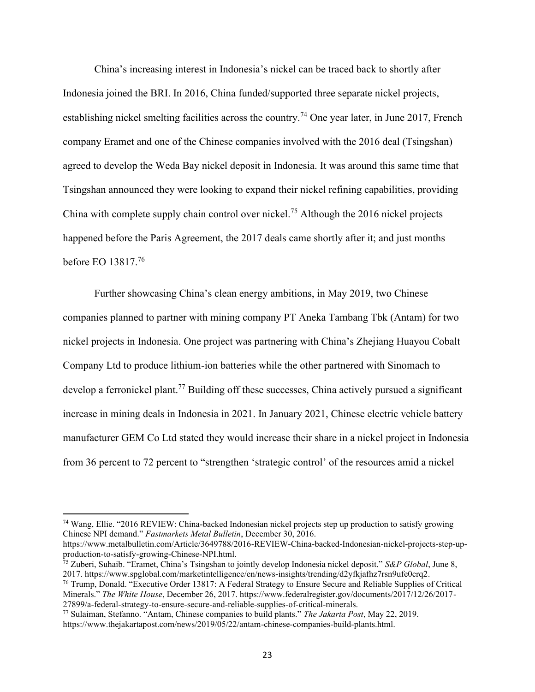China's increasing interest in Indonesia's nickel can be traced back to shortly after Indonesia joined the BRI. In 2016, China funded/supported three separate nickel projects, establishing nickel smelting facilities across the country.<sup>74</sup> One year later, in June 2017, French company Eramet and one of the Chinese companies involved with the 2016 deal (Tsingshan) agreed to develop the Weda Bay nickel deposit in Indonesia. It was around this same time that Tsingshan announced they were looking to expand their nickel refining capabilities, providing China with complete supply chain control over nickel.<sup>75</sup> Although the 2016 nickel projects happened before the Paris Agreement, the 2017 deals came shortly after it; and just months before EO 13817.<sup>76</sup>

Further showcasing China's clean energy ambitions, in May 2019, two Chinese companies planned to partner with mining company PT Aneka Tambang Tbk (Antam) for two nickel projects in Indonesia. One project was partnering with China's Zhejiang Huayou Cobalt Company Ltd to produce lithium-ion batteries while the other partnered with Sinomach to develop a ferronickel plant.<sup>77</sup> Building off these successes, China actively pursued a significant increase in mining deals in Indonesia in 2021. In January 2021, Chinese electric vehicle battery manufacturer GEM Co Ltd stated they would increase their share in a nickel project in Indonesia from 36 percent to 72 percent to "strengthen 'strategic control' of the resources amid a nickel

<sup>74</sup> Wang, Ellie. "2016 REVIEW: China-backed Indonesian nickel projects step up production to satisfy growing Chinese NPI demand." *Fastmarkets Metal Bulletin*, December 30, 2016.

https://www.metalbulletin.com/Article/3649788/2016-REVIEW-China-backed-Indonesian-nickel-projects-step-upproduction-to-satisfy-growing-Chinese-NPI.html.

<sup>75</sup> Zuberi, Suhaib. "Eramet, China's Tsingshan to jointly develop Indonesia nickel deposit." *S&P Global*, June 8, 2017. https://www.spglobal.com/marketintelligence/en/news-insights/trending/d2yfkjafhz7rsn9ufe0crq2.

<sup>76</sup> Trump, Donald. "Executive Order 13817: A Federal Strategy to Ensure Secure and Reliable Supplies of Critical Minerals." *The White House*, December 26, 2017. https://www.federalregister.gov/documents/2017/12/26/2017- 27899/a-federal-strategy-to-ensure-secure-and-reliable-supplies-of-critical-minerals.

<sup>77</sup> Sulaiman, Stefanno. "Antam, Chinese companies to build plants." *The Jakarta Post*, May 22, 2019. https://www.thejakartapost.com/news/2019/05/22/antam-chinese-companies-build-plants.html.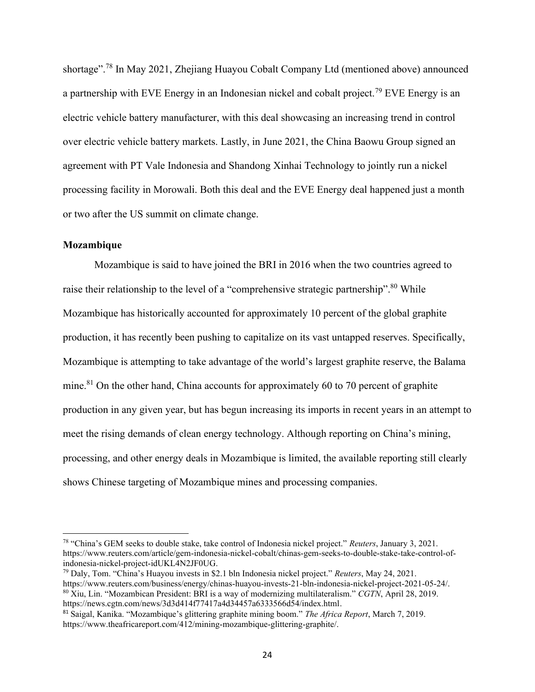shortage".<sup>78</sup> In May 2021, Zhejiang Huayou Cobalt Company Ltd (mentioned above) announced a partnership with EVE Energy in an Indonesian nickel and cobalt project.<sup>79</sup> EVE Energy is an electric vehicle battery manufacturer, with this deal showcasing an increasing trend in control over electric vehicle battery markets. Lastly, in June 2021, the China Baowu Group signed an agreement with PT Vale Indonesia and Shandong Xinhai Technology to jointly run a nickel processing facility in Morowali. Both this deal and the EVE Energy deal happened just a month or two after the US summit on climate change.

## **Mozambique**

Mozambique is said to have joined the BRI in 2016 when the two countries agreed to raise their relationship to the level of a "comprehensive strategic partnership".<sup>80</sup> While Mozambique has historically accounted for approximately 10 percent of the global graphite production, it has recently been pushing to capitalize on its vast untapped reserves. Specifically, Mozambique is attempting to take advantage of the world's largest graphite reserve, the Balama mine.<sup>81</sup> On the other hand, China accounts for approximately 60 to 70 percent of graphite production in any given year, but has begun increasing its imports in recent years in an attempt to meet the rising demands of clean energy technology. Although reporting on China's mining, processing, and other energy deals in Mozambique is limited, the available reporting still clearly shows Chinese targeting of Mozambique mines and processing companies.

<sup>79</sup> Daly, Tom. "China's Huayou invests in \$2.1 bln Indonesia nickel project." *Reuters*, May 24, 2021. https://www.reuters.com/business/energy/chinas-huayou-invests-21-bln-indonesia-nickel-project-2021-05-24/. <sup>80</sup> Xiu, Lin. "Mozambican President: BRI is a way of modernizing multilateralism." *CGTN*, April 28, 2019. https://news.cgtn.com/news/3d3d414f77417a4d34457a6333566d54/index.html.

<sup>78</sup> "China's GEM seeks to double stake, take control of Indonesia nickel project." *Reuters*, January 3, 2021. https://www.reuters.com/article/gem-indonesia-nickel-cobalt/chinas-gem-seeks-to-double-stake-take-control-ofindonesia-nickel-project-idUKL4N2JF0UG.

<sup>81</sup> Saigal, Kanika. "Mozambique's glittering graphite mining boom." *The Africa Report*, March 7, 2019. https://www.theafricareport.com/412/mining-mozambique-glittering-graphite/.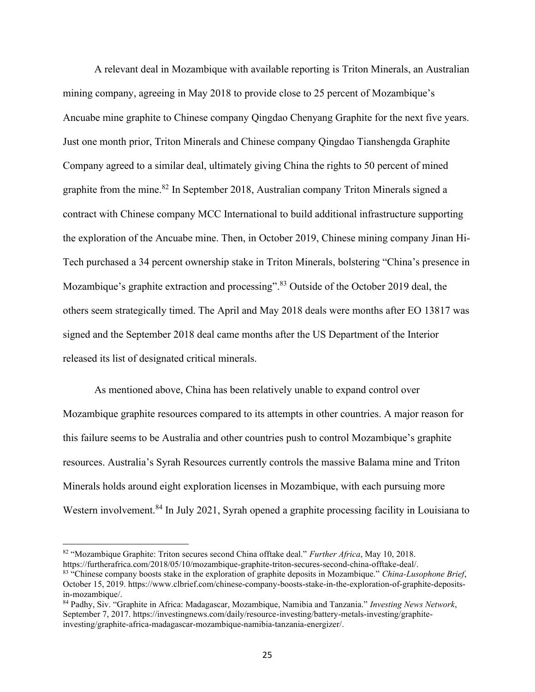A relevant deal in Mozambique with available reporting is Triton Minerals, an Australian mining company, agreeing in May 2018 to provide close to 25 percent of Mozambique's Ancuabe mine graphite to Chinese company Qingdao Chenyang Graphite for the next five years. Just one month prior, Triton Minerals and Chinese company Qingdao Tianshengda Graphite Company agreed to a similar deal, ultimately giving China the rights to 50 percent of mined graphite from the mine.<sup>82</sup> In September 2018, Australian company Triton Minerals signed a contract with Chinese company MCC International to build additional infrastructure supporting the exploration of the Ancuabe mine. Then, in October 2019, Chinese mining company Jinan Hi-Tech purchased a 34 percent ownership stake in Triton Minerals, bolstering "China's presence in Mozambique's graphite extraction and processing".<sup>83</sup> Outside of the October 2019 deal, the others seem strategically timed. The April and May 2018 deals were months after EO 13817 was signed and the September 2018 deal came months after the US Department of the Interior released its list of designated critical minerals.

As mentioned above, China has been relatively unable to expand control over Mozambique graphite resources compared to its attempts in other countries. A major reason for this failure seems to be Australia and other countries push to control Mozambique's graphite resources. Australia's Syrah Resources currently controls the massive Balama mine and Triton Minerals holds around eight exploration licenses in Mozambique, with each pursuing more Western involvement.<sup>84</sup> In July 2021, Syrah opened a graphite processing facility in Louisiana to

<sup>82</sup> "Mozambique Graphite: Triton secures second China offtake deal." *Further Africa*, May 10, 2018. https://furtherafrica.com/2018/05/10/mozambique-graphite-triton-secures-second-china-offtake-deal/.

<sup>83</sup> "Chinese company boosts stake in the exploration of graphite deposits in Mozambique." *China-Lusophone Brief*, October 15, 2019. https://www.clbrief.com/chinese-company-boosts-stake-in-the-exploration-of-graphite-depositsin-mozambique/.

<sup>84</sup> Padhy, Siv. "Graphite in Africa: Madagascar, Mozambique, Namibia and Tanzania." *Investing News Network*, September 7, 2017. https://investingnews.com/daily/resource-investing/battery-metals-investing/graphiteinvesting/graphite-africa-madagascar-mozambique-namibia-tanzania-energizer/.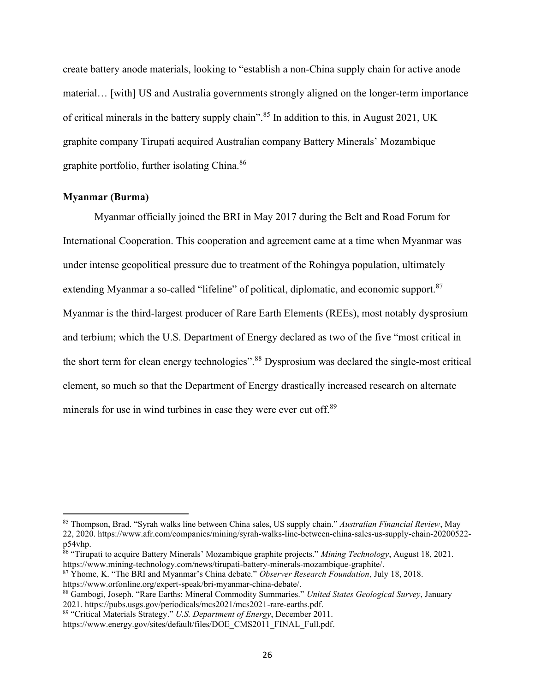create battery anode materials, looking to "establish a non-China supply chain for active anode material… [with] US and Australia governments strongly aligned on the longer-term importance of critical minerals in the battery supply chain".<sup>85</sup> In addition to this, in August 2021, UK graphite company Tirupati acquired Australian company Battery Minerals' Mozambique graphite portfolio, further isolating China.<sup>86</sup>

#### **Myanmar (Burma)**

Myanmar officially joined the BRI in May 2017 during the Belt and Road Forum for International Cooperation. This cooperation and agreement came at a time when Myanmar was under intense geopolitical pressure due to treatment of the Rohingya population, ultimately extending Myanmar a so-called "lifeline" of political, diplomatic, and economic support.<sup>87</sup> Myanmar is the third-largest producer of Rare Earth Elements (REEs), most notably dysprosium and terbium; which the U.S. Department of Energy declared as two of the five "most critical in the short term for clean energy technologies".<sup>88</sup> Dysprosium was declared the single-most critical element, so much so that the Department of Energy drastically increased research on alternate minerals for use in wind turbines in case they were ever cut off.<sup>89</sup>

<sup>85</sup> Thompson, Brad. "Syrah walks line between China sales, US supply chain." *Australian Financial Review*, May 22, 2020. https://www.afr.com/companies/mining/syrah-walks-line-between-china-sales-us-supply-chain-20200522 p54vhp.

<sup>86</sup> "Tirupati to acquire Battery Minerals' Mozambique graphite projects." *Mining Technology*, August 18, 2021. https://www.mining-technology.com/news/tirupati-battery-minerals-mozambique-graphite/.

<sup>87</sup> Yhome, K. "The BRI and Myanmar's China debate." *Observer Research Foundation*, July 18, 2018. https://www.orfonline.org/expert-speak/bri-myanmar-china-debate/.

<sup>88</sup> Gambogi, Joseph. "Rare Earths: Mineral Commodity Summaries." *United States Geological Survey*, January 2021. https://pubs.usgs.gov/periodicals/mcs2021/mcs2021-rare-earths.pdf.

<sup>89</sup> "Critical Materials Strategy." *U.S. Department of Energy*, December 2011.

https://www.energy.gov/sites/default/files/DOE\_CMS2011\_FINAL\_Full.pdf.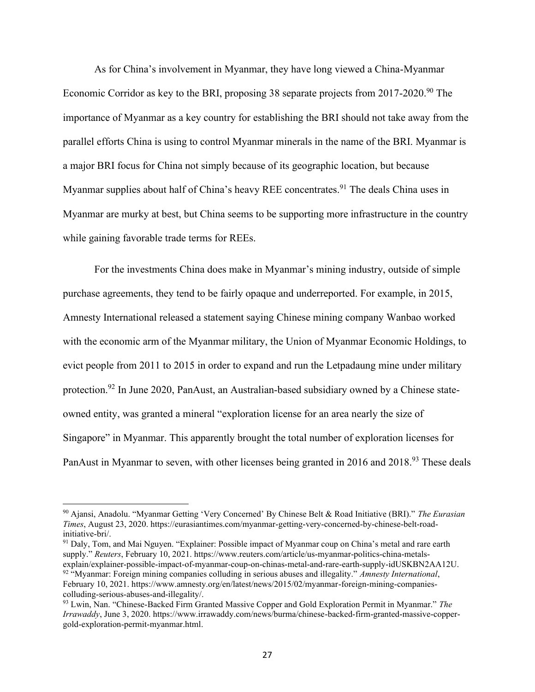As for China's involvement in Myanmar, they have long viewed a China-Myanmar Economic Corridor as key to the BRI, proposing 38 separate projects from 2017-2020.<sup>90</sup> The importance of Myanmar as a key country for establishing the BRI should not take away from the parallel efforts China is using to control Myanmar minerals in the name of the BRI. Myanmar is a major BRI focus for China not simply because of its geographic location, but because Myanmar supplies about half of China's heavy REE concentrates.<sup>91</sup> The deals China uses in Myanmar are murky at best, but China seems to be supporting more infrastructure in the country while gaining favorable trade terms for REEs.

For the investments China does make in Myanmar's mining industry, outside of simple purchase agreements, they tend to be fairly opaque and underreported. For example, in 2015, Amnesty International released a statement saying Chinese mining company Wanbao worked with the economic arm of the Myanmar military, the Union of Myanmar Economic Holdings, to evict people from 2011 to 2015 in order to expand and run the Letpadaung mine under military protection.<sup>92</sup> In June 2020, PanAust, an Australian-based subsidiary owned by a Chinese stateowned entity, was granted a mineral "exploration license for an area nearly the size of Singapore" in Myanmar. This apparently brought the total number of exploration licenses for PanAust in Myanmar to seven, with other licenses being granted in 2016 and 2018.<sup>93</sup> These deals

<sup>91</sup> Daly, Tom, and Mai Nguyen. "Explainer: Possible impact of Myanmar coup on China's metal and rare earth supply." *Reuters*, February 10, 2021. https://www.reuters.com/article/us-myanmar-politics-china-metalsexplain/explainer-possible-impact-of-myanmar-coup-on-chinas-metal-and-rare-earth-supply-idUSKBN2AA12U. <sup>92</sup> "Myanmar: Foreign mining companies colluding in serious abuses and illegality." *Amnesty International*, February 10, 2021. https://www.amnesty.org/en/latest/news/2015/02/myanmar-foreign-mining-companiescolluding-serious-abuses-and-illegality/.

<sup>90</sup> Ajansi, Anadolu. "Myanmar Getting 'Very Concerned' By Chinese Belt & Road Initiative (BRI)." *The Eurasian Times*, August 23, 2020. https://eurasiantimes.com/myanmar-getting-very-concerned-by-chinese-belt-roadinitiative-bri/.

<sup>93</sup> Lwin, Nan. "Chinese-Backed Firm Granted Massive Copper and Gold Exploration Permit in Myanmar." *The Irrawaddy*, June 3, 2020. https://www.irrawaddy.com/news/burma/chinese-backed-firm-granted-massive-coppergold-exploration-permit-myanmar.html.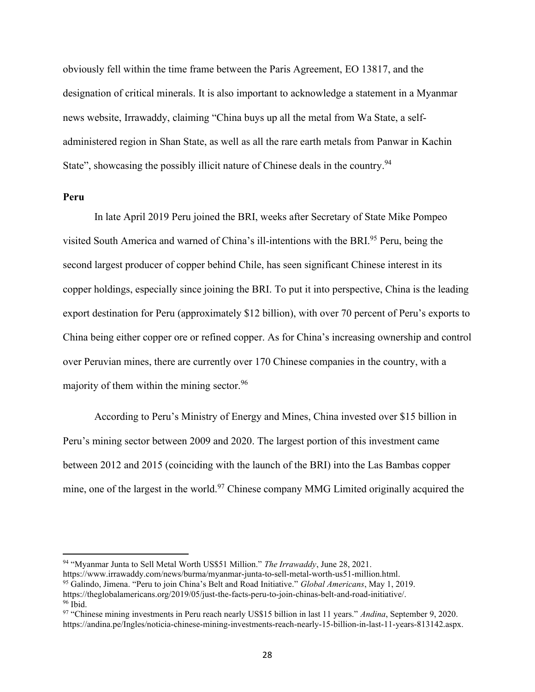obviously fell within the time frame between the Paris Agreement, EO 13817, and the designation of critical minerals. It is also important to acknowledge a statement in a Myanmar news website, Irrawaddy, claiming "China buys up all the metal from Wa State, a selfadministered region in Shan State, as well as all the rare earth metals from Panwar in Kachin State", showcasing the possibly illicit nature of Chinese deals in the country.<sup>94</sup>

#### **Peru**

In late April 2019 Peru joined the BRI, weeks after Secretary of State Mike Pompeo visited South America and warned of China's ill-intentions with the BRI.<sup>95</sup> Peru, being the second largest producer of copper behind Chile, has seen significant Chinese interest in its copper holdings, especially since joining the BRI. To put it into perspective, China is the leading export destination for Peru (approximately \$12 billion), with over 70 percent of Peru's exports to China being either copper ore or refined copper. As for China's increasing ownership and control over Peruvian mines, there are currently over 170 Chinese companies in the country, with a majority of them within the mining sector.  $96$ 

According to Peru's Ministry of Energy and Mines, China invested over \$15 billion in Peru's mining sector between 2009 and 2020. The largest portion of this investment came between 2012 and 2015 (coinciding with the launch of the BRI) into the Las Bambas copper mine, one of the largest in the world.<sup>97</sup> Chinese company MMG Limited originally acquired the

<sup>94</sup> "Myanmar Junta to Sell Metal Worth US\$51 Million." *The Irrawaddy*, June 28, 2021.

https://www.irrawaddy.com/news/burma/myanmar-junta-to-sell-metal-worth-us51-million.html.

<sup>95</sup> Galindo, Jimena. "Peru to join China's Belt and Road Initiative." *Global Americans*, May 1, 2019.

https://theglobalamericans.org/2019/05/just-the-facts-peru-to-join-chinas-belt-and-road-initiative/.  $96$  Ibid.

<sup>97</sup> "Chinese mining investments in Peru reach nearly US\$15 billion in last 11 years." *Andina*, September 9, 2020. https://andina.pe/Ingles/noticia-chinese-mining-investments-reach-nearly-15-billion-in-last-11-years-813142.aspx.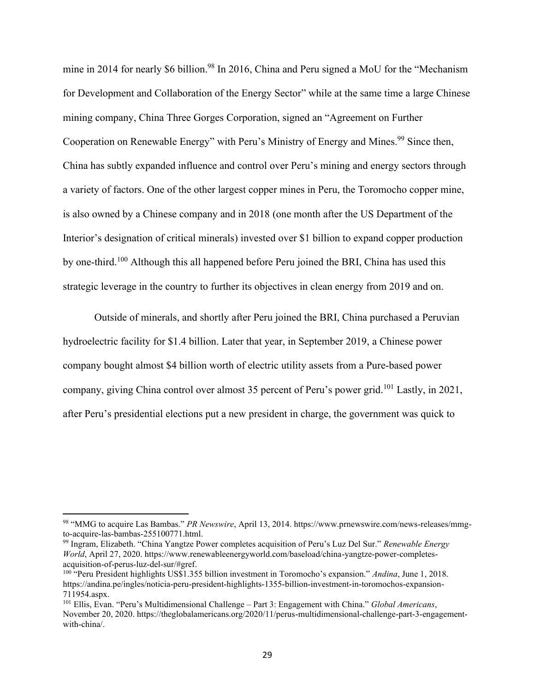mine in 2014 for nearly \$6 billion.<sup>98</sup> In 2016, China and Peru signed a MoU for the "Mechanism for Development and Collaboration of the Energy Sector" while at the same time a large Chinese mining company, China Three Gorges Corporation, signed an "Agreement on Further Cooperation on Renewable Energy" with Peru's Ministry of Energy and Mines.<sup>99</sup> Since then, China has subtly expanded influence and control over Peru's mining and energy sectors through a variety of factors. One of the other largest copper mines in Peru, the Toromocho copper mine, is also owned by a Chinese company and in 2018 (one month after the US Department of the Interior's designation of critical minerals) invested over \$1 billion to expand copper production by one-third.<sup>100</sup> Although this all happened before Peru joined the BRI, China has used this strategic leverage in the country to further its objectives in clean energy from 2019 and on.

Outside of minerals, and shortly after Peru joined the BRI, China purchased a Peruvian hydroelectric facility for \$1.4 billion. Later that year, in September 2019, a Chinese power company bought almost \$4 billion worth of electric utility assets from a Pure-based power company, giving China control over almost 35 percent of Peru's power grid.<sup>101</sup> Lastly, in 2021, after Peru's presidential elections put a new president in charge, the government was quick to

<sup>98</sup> "MMG to acquire Las Bambas." *PR Newswire*, April 13, 2014. https://www.prnewswire.com/news-releases/mmgto-acquire-las-bambas-255100771.html.

<sup>99</sup> Ingram, Elizabeth. "China Yangtze Power completes acquisition of Peru's Luz Del Sur." *Renewable Energy World*, April 27, 2020. https://www.renewableenergyworld.com/baseload/china-yangtze-power-completesacquisition-of-perus-luz-del-sur/#gref.

<sup>100</sup> "Peru President highlights US\$1.355 billion investment in Toromocho's expansion." *Andina*, June 1, 2018. https://andina.pe/ingles/noticia-peru-president-highlights-1355-billion-investment-in-toromochos-expansion-711954.aspx.

<sup>101</sup> Ellis, Evan. "Peru's Multidimensional Challenge – Part 3: Engagement with China." *Global Americans*, November 20, 2020. https://theglobalamericans.org/2020/11/perus-multidimensional-challenge-part-3-engagementwith-china/.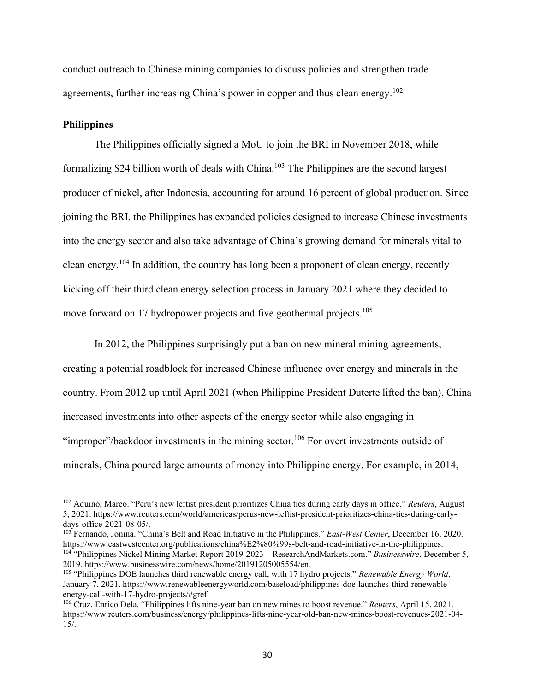conduct outreach to Chinese mining companies to discuss policies and strengthen trade agreements, further increasing China's power in copper and thus clean energy.<sup>102</sup>

#### **Philippines**

The Philippines officially signed a MoU to join the BRI in November 2018, while formalizing \$24 billion worth of deals with China.<sup>103</sup> The Philippines are the second largest producer of nickel, after Indonesia, accounting for around 16 percent of global production. Since joining the BRI, the Philippines has expanded policies designed to increase Chinese investments into the energy sector and also take advantage of China's growing demand for minerals vital to clean energy.<sup>104</sup> In addition, the country has long been a proponent of clean energy, recently kicking off their third clean energy selection process in January 2021 where they decided to move forward on 17 hydropower projects and five geothermal projects.<sup>105</sup>

In 2012, the Philippines surprisingly put a ban on new mineral mining agreements, creating a potential roadblock for increased Chinese influence over energy and minerals in the country. From 2012 up until April 2021 (when Philippine President Duterte lifted the ban), China increased investments into other aspects of the energy sector while also engaging in "improper"/backdoor investments in the mining sector.<sup>106</sup> For overt investments outside of minerals, China poured large amounts of money into Philippine energy. For example, in 2014,

<sup>103</sup> Fernando, Jonina. "China's Belt and Road Initiative in the Philippines." *East-West Center*, December 16, 2020. https://www.eastwestcenter.org/publications/china%E2%80%99s-belt-and-road-initiative-in-the-philippines. <sup>104</sup> "Philippines Nickel Mining Market Report 2019-2023 – ResearchAndMarkets.com." *Businesswire*, December 5, 2019. https://www.businesswire.com/news/home/20191205005554/en.

<sup>102</sup> Aquino, Marco. "Peru's new leftist president prioritizes China ties during early days in office." *Reuters*, August 5, 2021. https://www.reuters.com/world/americas/perus-new-leftist-president-prioritizes-china-ties-during-earlydays-office-2021-08-05/.

<sup>105</sup> "Philippines DOE launches third renewable energy call, with 17 hydro projects." *Renewable Energy World*, January 7, 2021. https://www.renewableenergyworld.com/baseload/philippines-doe-launches-third-renewableenergy-call-with-17-hydro-projects/#gref.

<sup>106</sup> Cruz, Enrico Dela. "Philippines lifts nine-year ban on new mines to boost revenue." *Reuters*, April 15, 2021. https://www.reuters.com/business/energy/philippines-lifts-nine-year-old-ban-new-mines-boost-revenues-2021-04- 15/.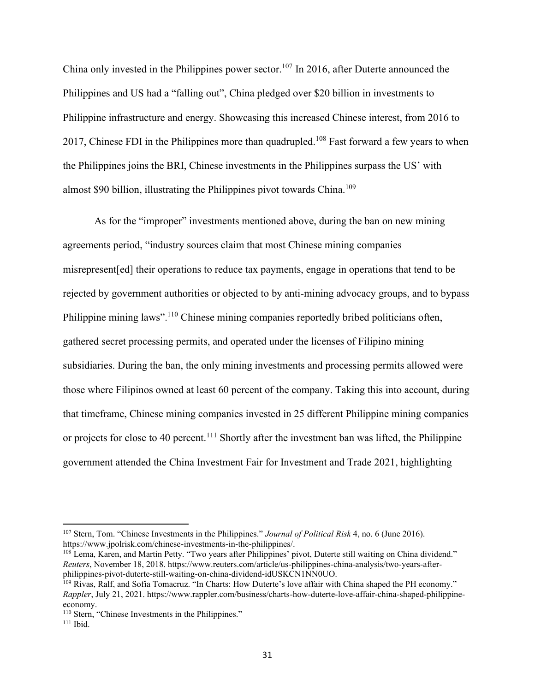China only invested in the Philippines power sector.<sup>107</sup> In 2016, after Duterte announced the Philippines and US had a "falling out", China pledged over \$20 billion in investments to Philippine infrastructure and energy. Showcasing this increased Chinese interest, from 2016 to 2017, Chinese FDI in the Philippines more than quadrupled.<sup>108</sup> Fast forward a few years to when the Philippines joins the BRI, Chinese investments in the Philippines surpass the US' with almost \$90 billion, illustrating the Philippines pivot towards China.<sup>109</sup>

As for the "improper" investments mentioned above, during the ban on new mining agreements period, "industry sources claim that most Chinese mining companies misrepresent[ed] their operations to reduce tax payments, engage in operations that tend to be rejected by government authorities or objected to by anti-mining advocacy groups, and to bypass Philippine mining laws".<sup>110</sup> Chinese mining companies reportedly bribed politicians often, gathered secret processing permits, and operated under the licenses of Filipino mining subsidiaries. During the ban, the only mining investments and processing permits allowed were those where Filipinos owned at least 60 percent of the company. Taking this into account, during that timeframe, Chinese mining companies invested in 25 different Philippine mining companies or projects for close to 40 percent.<sup>111</sup> Shortly after the investment ban was lifted, the Philippine government attended the China Investment Fair for Investment and Trade 2021, highlighting

<sup>107</sup> Stern, Tom. "Chinese Investments in the Philippines." *Journal of Political Risk* 4, no. 6 (June 2016). https://www.jpolrisk.com/chinese-investments-in-the-philippines/.

<sup>&</sup>lt;sup>108</sup> Lema, Karen, and Martin Petty. "Two years after Philippines' pivot, Duterte still waiting on China dividend." *Reuters*, November 18, 2018. https://www.reuters.com/article/us-philippines-china-analysis/two-years-afterphilippines-pivot-duterte-still-waiting-on-china-dividend-idUSKCN1NN0UO.

<sup>109</sup> Rivas, Ralf, and Sofia Tomacruz. "In Charts: How Duterte's love affair with China shaped the PH economy." *Rappler*, July 21, 2021. https://www.rappler.com/business/charts-how-duterte-love-affair-china-shaped-philippineeconomy.

<sup>&</sup>lt;sup>110</sup> Stern, "Chinese Investments in the Philippines."

 $111$  Ibid.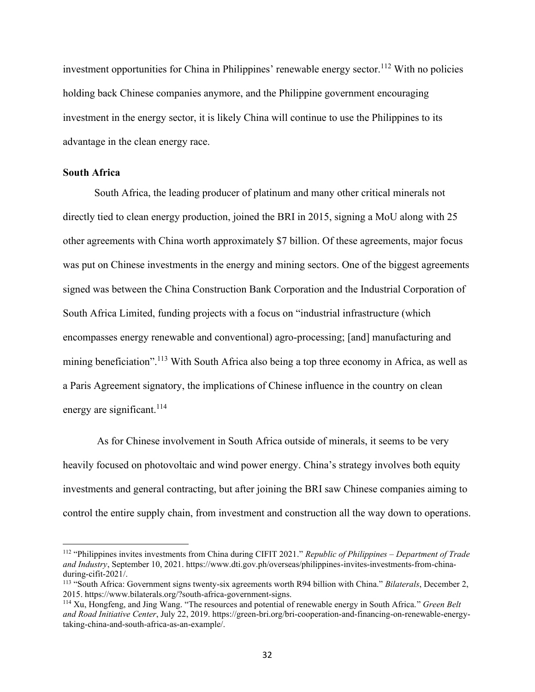investment opportunities for China in Philippines' renewable energy sector.<sup>112</sup> With no policies holding back Chinese companies anymore, and the Philippine government encouraging investment in the energy sector, it is likely China will continue to use the Philippines to its advantage in the clean energy race.

### **South Africa**

South Africa, the leading producer of platinum and many other critical minerals not directly tied to clean energy production, joined the BRI in 2015, signing a MoU along with 25 other agreements with China worth approximately \$7 billion. Of these agreements, major focus was put on Chinese investments in the energy and mining sectors. One of the biggest agreements signed was between the China Construction Bank Corporation and the Industrial Corporation of South Africa Limited, funding projects with a focus on "industrial infrastructure (which encompasses energy renewable and conventional) agro-processing; [and] manufacturing and mining beneficiation".<sup>113</sup> With South Africa also being a top three economy in Africa, as well as a Paris Agreement signatory, the implications of Chinese influence in the country on clean energy are significant.<sup>114</sup>

As for Chinese involvement in South Africa outside of minerals, it seems to be very heavily focused on photovoltaic and wind power energy. China's strategy involves both equity investments and general contracting, but after joining the BRI saw Chinese companies aiming to control the entire supply chain, from investment and construction all the way down to operations.

<sup>112</sup> "Philippines invites investments from China during CIFIT 2021." *Republic of Philippines – Department of Trade and Industry*, September 10, 2021. https://www.dti.gov.ph/overseas/philippines-invites-investments-from-chinaduring-cifit-2021/.

<sup>113</sup> "South Africa: Government signs twenty-six agreements worth R94 billion with China." *Bilaterals*, December 2, 2015. https://www.bilaterals.org/?south-africa-government-signs.

<sup>114</sup> Xu, Hongfeng, and Jing Wang. "The resources and potential of renewable energy in South Africa." *Green Belt and Road Initiative Center*, July 22, 2019. https://green-bri.org/bri-cooperation-and-financing-on-renewable-energytaking-china-and-south-africa-as-an-example/.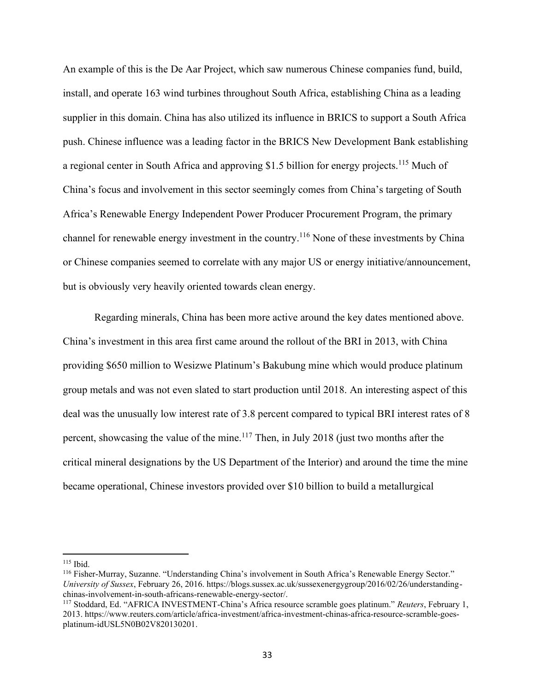An example of this is the De Aar Project, which saw numerous Chinese companies fund, build, install, and operate 163 wind turbines throughout South Africa, establishing China as a leading supplier in this domain. China has also utilized its influence in BRICS to support a South Africa push. Chinese influence was a leading factor in the BRICS New Development Bank establishing a regional center in South Africa and approving \$1.5 billion for energy projects.<sup>115</sup> Much of China's focus and involvement in this sector seemingly comes from China's targeting of South Africa's Renewable Energy Independent Power Producer Procurement Program, the primary channel for renewable energy investment in the country.<sup>116</sup> None of these investments by China or Chinese companies seemed to correlate with any major US or energy initiative/announcement, but is obviously very heavily oriented towards clean energy.

Regarding minerals, China has been more active around the key dates mentioned above. China's investment in this area first came around the rollout of the BRI in 2013, with China providing \$650 million to Wesizwe Platinum's Bakubung mine which would produce platinum group metals and was not even slated to start production until 2018. An interesting aspect of this deal was the unusually low interest rate of 3.8 percent compared to typical BRI interest rates of 8 percent, showcasing the value of the mine.<sup>117</sup> Then, in July 2018 (just two months after the critical mineral designations by the US Department of the Interior) and around the time the mine became operational, Chinese investors provided over \$10 billion to build a metallurgical

 $115$  Ibid.

<sup>116</sup> Fisher-Murray, Suzanne. "Understanding China's involvement in South Africa's Renewable Energy Sector." *University of Sussex*, February 26, 2016. https://blogs.sussex.ac.uk/sussexenergygroup/2016/02/26/understandingchinas-involvement-in-south-africans-renewable-energy-sector/.

<sup>117</sup> Stoddard, Ed. "AFRICA INVESTMENT-China's Africa resource scramble goes platinum." *Reuters*, February 1, 2013. https://www.reuters.com/article/africa-investment/africa-investment-chinas-africa-resource-scramble-goesplatinum-idUSL5N0B02V820130201.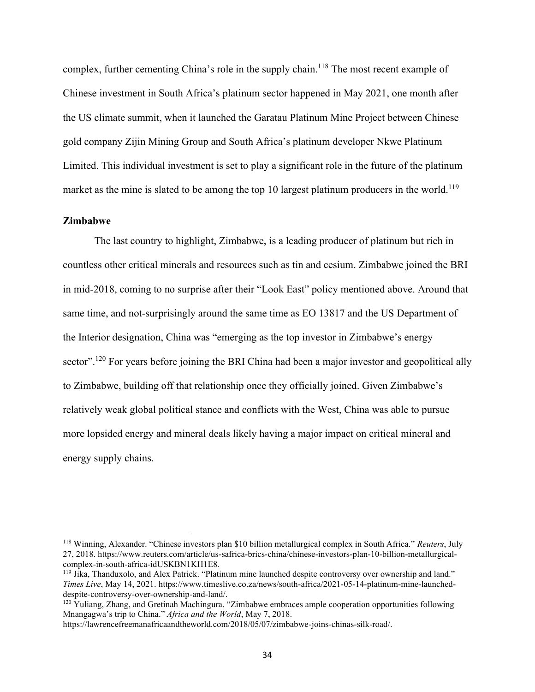complex, further cementing China's role in the supply chain.<sup>118</sup> The most recent example of Chinese investment in South Africa's platinum sector happened in May 2021, one month after the US climate summit, when it launched the Garatau Platinum Mine Project between Chinese gold company Zijin Mining Group and South Africa's platinum developer Nkwe Platinum Limited. This individual investment is set to play a significant role in the future of the platinum market as the mine is slated to be among the top 10 largest platinum producers in the world.<sup>119</sup>

#### **Zimbabwe**

The last country to highlight, Zimbabwe, is a leading producer of platinum but rich in countless other critical minerals and resources such as tin and cesium. Zimbabwe joined the BRI in mid-2018, coming to no surprise after their "Look East" policy mentioned above. Around that same time, and not-surprisingly around the same time as EO 13817 and the US Department of the Interior designation, China was "emerging as the top investor in Zimbabwe's energy sector".<sup>120</sup> For years before joining the BRI China had been a major investor and geopolitical ally to Zimbabwe, building off that relationship once they officially joined. Given Zimbabwe's relatively weak global political stance and conflicts with the West, China was able to pursue more lopsided energy and mineral deals likely having a major impact on critical mineral and energy supply chains.

<sup>118</sup> Winning, Alexander. "Chinese investors plan \$10 billion metallurgical complex in South Africa." *Reuters*, July 27, 2018. https://www.reuters.com/article/us-safrica-brics-china/chinese-investors-plan-10-billion-metallurgicalcomplex-in-south-africa-idUSKBN1KH1E8.

<sup>119</sup> Jika, Thanduxolo, and Alex Patrick. "Platinum mine launched despite controversy over ownership and land." *Times Live*, May 14, 2021. https://www.timeslive.co.za/news/south-africa/2021-05-14-platinum-mine-launcheddespite-controversy-over-ownership-and-land/.

<sup>&</sup>lt;sup>120</sup> Yuliang, Zhang, and Gretinah Machingura. "Zimbabwe embraces ample cooperation opportunities following Mnangagwa's trip to China." *Africa and the World*, May 7, 2018.

https://lawrencefreemanafricaandtheworld.com/2018/05/07/zimbabwe-joins-chinas-silk-road/.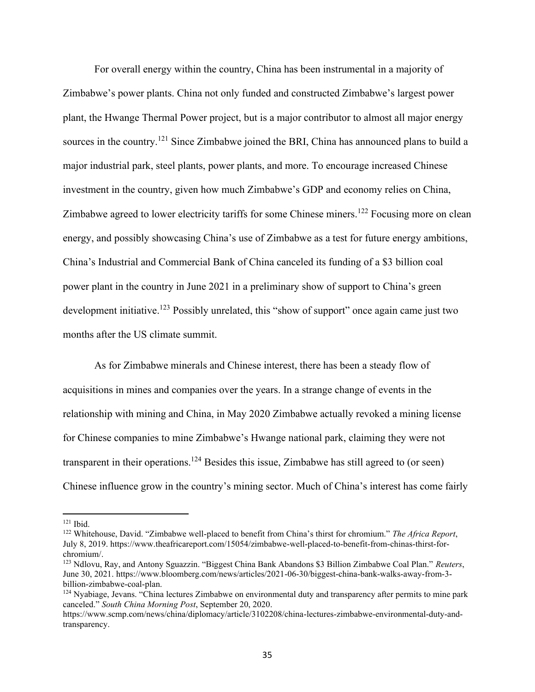For overall energy within the country, China has been instrumental in a majority of Zimbabwe's power plants. China not only funded and constructed Zimbabwe's largest power plant, the Hwange Thermal Power project, but is a major contributor to almost all major energy sources in the country.<sup>121</sup> Since Zimbabwe joined the BRI, China has announced plans to build a major industrial park, steel plants, power plants, and more. To encourage increased Chinese investment in the country, given how much Zimbabwe's GDP and economy relies on China, Zimbabwe agreed to lower electricity tariffs for some Chinese miners.<sup>122</sup> Focusing more on clean energy, and possibly showcasing China's use of Zimbabwe as a test for future energy ambitions, China's Industrial and Commercial Bank of China canceled its funding of a \$3 billion coal power plant in the country in June 2021 in a preliminary show of support to China's green development initiative.<sup>123</sup> Possibly unrelated, this "show of support" once again came just two months after the US climate summit.

As for Zimbabwe minerals and Chinese interest, there has been a steady flow of acquisitions in mines and companies over the years. In a strange change of events in the relationship with mining and China, in May 2020 Zimbabwe actually revoked a mining license for Chinese companies to mine Zimbabwe's Hwange national park, claiming they were not transparent in their operations.<sup>124</sup> Besides this issue, Zimbabwe has still agreed to (or seen) Chinese influence grow in the country's mining sector. Much of China's interest has come fairly

 $121$  Ibid.

<sup>122</sup> Whitehouse, David. "Zimbabwe well-placed to benefit from China's thirst for chromium." *The Africa Report*, July 8, 2019. https://www.theafricareport.com/15054/zimbabwe-well-placed-to-benefit-from-chinas-thirst-forchromium/.

<sup>123</sup> Ndlovu, Ray, and Antony Sguazzin. "Biggest China Bank Abandons \$3 Billion Zimbabwe Coal Plan." *Reuters*, June 30, 2021. https://www.bloomberg.com/news/articles/2021-06-30/biggest-china-bank-walks-away-from-3 billion-zimbabwe-coal-plan.

 $124$  Nyabiage, Jevans. "China lectures Zimbabwe on environmental duty and transparency after permits to mine park canceled." *South China Morning Post*, September 20, 2020.

https://www.scmp.com/news/china/diplomacy/article/3102208/china-lectures-zimbabwe-environmental-duty-andtransparency.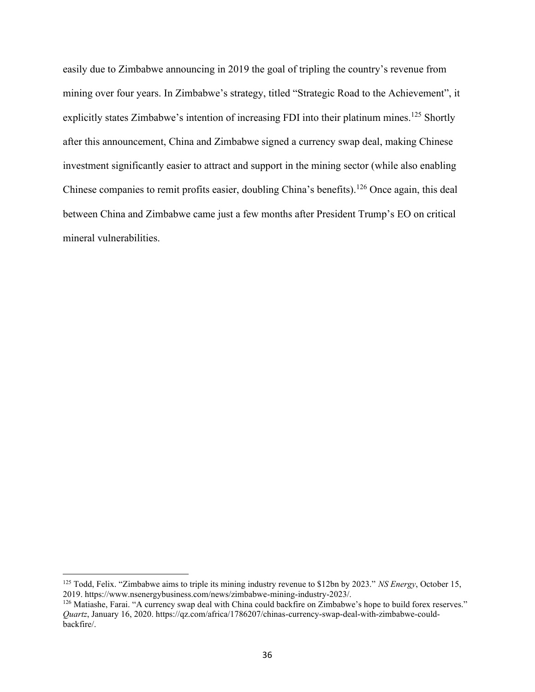easily due to Zimbabwe announcing in 2019 the goal of tripling the country's revenue from mining over four years. In Zimbabwe's strategy, titled "Strategic Road to the Achievement", it explicitly states Zimbabwe's intention of increasing FDI into their platinum mines.<sup>125</sup> Shortly after this announcement, China and Zimbabwe signed a currency swap deal, making Chinese investment significantly easier to attract and support in the mining sector (while also enabling Chinese companies to remit profits easier, doubling China's benefits).<sup>126</sup> Once again, this deal between China and Zimbabwe came just a few months after President Trump's EO on critical mineral vulnerabilities.

<sup>125</sup> Todd, Felix. "Zimbabwe aims to triple its mining industry revenue to \$12bn by 2023." *NS Energy*, October 15, 2019. https://www.nsenergybusiness.com/news/zimbabwe-mining-industry-2023/.

<sup>&</sup>lt;sup>126</sup> Matiashe, Farai. "A currency swap deal with China could backfire on Zimbabwe's hope to build forex reserves." *Quartz*, January 16, 2020. https://qz.com/africa/1786207/chinas-currency-swap-deal-with-zimbabwe-couldbackfire/.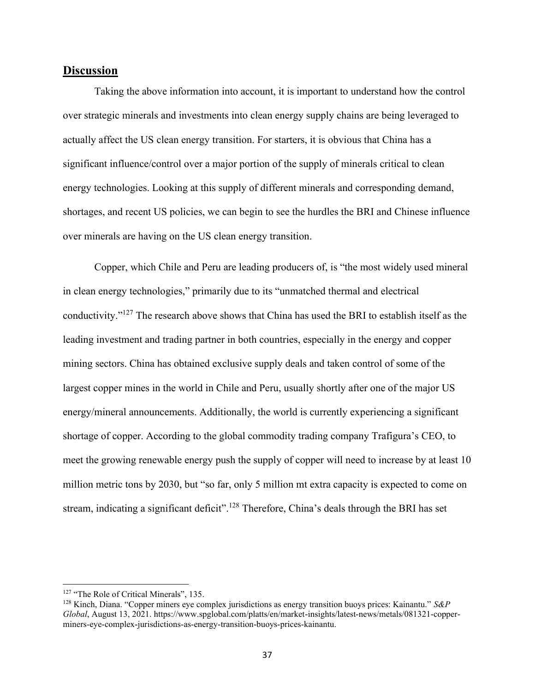## **Discussion**

Taking the above information into account, it is important to understand how the control over strategic minerals and investments into clean energy supply chains are being leveraged to actually affect the US clean energy transition. For starters, it is obvious that China has a significant influence/control over a major portion of the supply of minerals critical to clean energy technologies. Looking at this supply of different minerals and corresponding demand, shortages, and recent US policies, we can begin to see the hurdles the BRI and Chinese influence over minerals are having on the US clean energy transition.

Copper, which Chile and Peru are leading producers of, is "the most widely used mineral in clean energy technologies," primarily due to its "unmatched thermal and electrical conductivity."<sup>127</sup> The research above shows that China has used the BRI to establish itself as the leading investment and trading partner in both countries, especially in the energy and copper mining sectors. China has obtained exclusive supply deals and taken control of some of the largest copper mines in the world in Chile and Peru, usually shortly after one of the major US energy/mineral announcements. Additionally, the world is currently experiencing a significant shortage of copper. According to the global commodity trading company Trafigura's CEO, to meet the growing renewable energy push the supply of copper will need to increase by at least 10 million metric tons by 2030, but "so far, only 5 million mt extra capacity is expected to come on stream, indicating a significant deficit".<sup>128</sup> Therefore, China's deals through the BRI has set

<sup>&</sup>lt;sup>127</sup> "The Role of Critical Minerals", 135.

<sup>128</sup> Kinch, Diana. "Copper miners eye complex jurisdictions as energy transition buoys prices: Kainantu." *S&P Global*, August 13, 2021. https://www.spglobal.com/platts/en/market-insights/latest-news/metals/081321-copperminers-eye-complex-jurisdictions-as-energy-transition-buoys-prices-kainantu.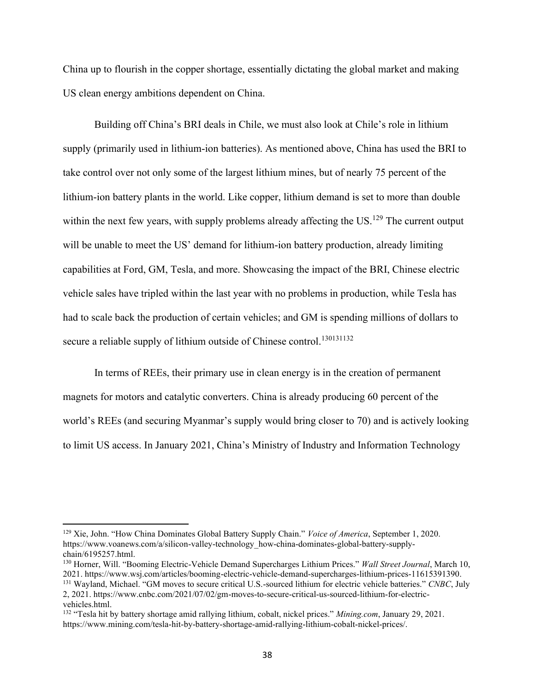China up to flourish in the copper shortage, essentially dictating the global market and making US clean energy ambitions dependent on China.

Building off China's BRI deals in Chile, we must also look at Chile's role in lithium supply (primarily used in lithium-ion batteries). As mentioned above, China has used the BRI to take control over not only some of the largest lithium mines, but of nearly 75 percent of the lithium-ion battery plants in the world. Like copper, lithium demand is set to more than double within the next few years, with supply problems already affecting the  $US^{129}$  The current output will be unable to meet the US' demand for lithium-ion battery production, already limiting capabilities at Ford, GM, Tesla, and more. Showcasing the impact of the BRI, Chinese electric vehicle sales have tripled within the last year with no problems in production, while Tesla has had to scale back the production of certain vehicles; and GM is spending millions of dollars to secure a reliable supply of lithium outside of Chinese control.<sup>130131132</sup>

In terms of REEs, their primary use in clean energy is in the creation of permanent magnets for motors and catalytic converters. China is already producing 60 percent of the world's REEs (and securing Myanmar's supply would bring closer to 70) and is actively looking to limit US access. In January 2021, China's Ministry of Industry and Information Technology

<sup>129</sup> Xie, John. "How China Dominates Global Battery Supply Chain." *Voice of America*, September 1, 2020. https://www.voanews.com/a/silicon-valley-technology\_how-china-dominates-global-battery-supplychain/6195257.html.

<sup>130</sup> Horner, Will. "Booming Electric-Vehicle Demand Supercharges Lithium Prices." *Wall Street Journal*, March 10, 2021. https://www.wsj.com/articles/booming-electric-vehicle-demand-supercharges-lithium-prices-11615391390.

<sup>131</sup> Wayland, Michael. "GM moves to secure critical U.S.-sourced lithium for electric vehicle batteries." *CNBC*, July 2, 2021. https://www.cnbc.com/2021/07/02/gm-moves-to-secure-critical-us-sourced-lithium-for-electricvehicles.html.

<sup>132</sup> "Tesla hit by battery shortage amid rallying lithium, cobalt, nickel prices." *Mining.com*, January 29, 2021. https://www.mining.com/tesla-hit-by-battery-shortage-amid-rallying-lithium-cobalt-nickel-prices/.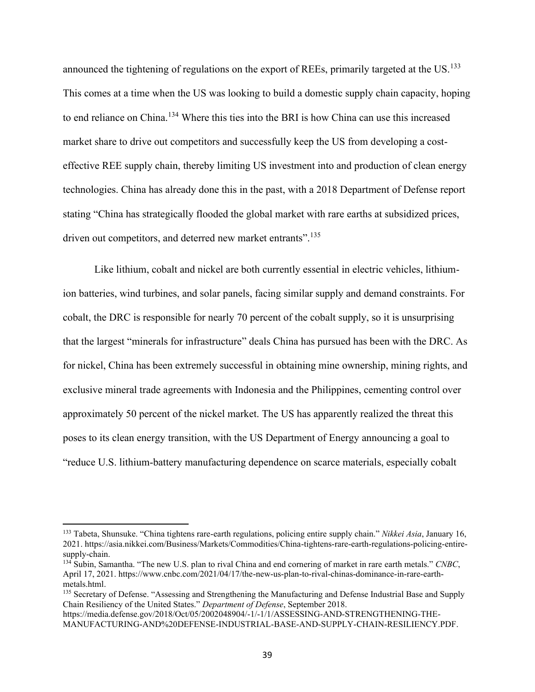announced the tightening of regulations on the export of REEs, primarily targeted at the US.<sup>133</sup> This comes at a time when the US was looking to build a domestic supply chain capacity, hoping to end reliance on China.<sup>134</sup> Where this ties into the BRI is how China can use this increased market share to drive out competitors and successfully keep the US from developing a costeffective REE supply chain, thereby limiting US investment into and production of clean energy technologies. China has already done this in the past, with a 2018 Department of Defense report stating "China has strategically flooded the global market with rare earths at subsidized prices, driven out competitors, and deterred new market entrants".<sup>135</sup>

Like lithium, cobalt and nickel are both currently essential in electric vehicles, lithiumion batteries, wind turbines, and solar panels, facing similar supply and demand constraints. For cobalt, the DRC is responsible for nearly 70 percent of the cobalt supply, so it is unsurprising that the largest "minerals for infrastructure" deals China has pursued has been with the DRC. As for nickel, China has been extremely successful in obtaining mine ownership, mining rights, and exclusive mineral trade agreements with Indonesia and the Philippines, cementing control over approximately 50 percent of the nickel market. The US has apparently realized the threat this poses to its clean energy transition, with the US Department of Energy announcing a goal to "reduce U.S. lithium-battery manufacturing dependence on scarce materials, especially cobalt

<sup>133</sup> Tabeta, Shunsuke. "China tightens rare-earth regulations, policing entire supply chain." *Nikkei Asia*, January 16, 2021. https://asia.nikkei.com/Business/Markets/Commodities/China-tightens-rare-earth-regulations-policing-entiresupply-chain.

<sup>134</sup> Subin, Samantha. "The new U.S. plan to rival China and end cornering of market in rare earth metals." *CNBC*, April 17, 2021. https://www.cnbc.com/2021/04/17/the-new-us-plan-to-rival-chinas-dominance-in-rare-earthmetals.html.

<sup>&</sup>lt;sup>135</sup> Secretary of Defense. "Assessing and Strengthening the Manufacturing and Defense Industrial Base and Supply Chain Resiliency of the United States." *Department of Defense*, September 2018.

https://media.defense.gov/2018/Oct/05/2002048904/-1/-1/1/ASSESSING-AND-STRENGTHENING-THE-MANUFACTURING-AND%20DEFENSE-INDUSTRIAL-BASE-AND-SUPPLY-CHAIN-RESILIENCY.PDF.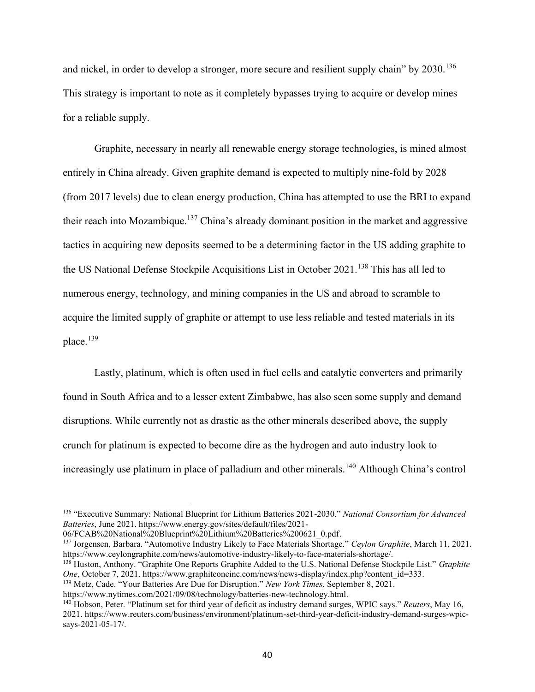and nickel, in order to develop a stronger, more secure and resilient supply chain" by 2030.<sup>136</sup> This strategy is important to note as it completely bypasses trying to acquire or develop mines for a reliable supply.

Graphite, necessary in nearly all renewable energy storage technologies, is mined almost entirely in China already. Given graphite demand is expected to multiply nine-fold by 2028 (from 2017 levels) due to clean energy production, China has attempted to use the BRI to expand their reach into Mozambique.<sup>137</sup> China's already dominant position in the market and aggressive tactics in acquiring new deposits seemed to be a determining factor in the US adding graphite to the US National Defense Stockpile Acquisitions List in October 2021.<sup>138</sup> This has all led to numerous energy, technology, and mining companies in the US and abroad to scramble to acquire the limited supply of graphite or attempt to use less reliable and tested materials in its place.<sup>139</sup>

Lastly, platinum, which is often used in fuel cells and catalytic converters and primarily found in South Africa and to a lesser extent Zimbabwe, has also seen some supply and demand disruptions. While currently not as drastic as the other minerals described above, the supply crunch for platinum is expected to become dire as the hydrogen and auto industry look to increasingly use platinum in place of palladium and other minerals.<sup>140</sup> Although China's control

06/FCAB%20National%20Blueprint%20Lithium%20Batteries%200621\_0.pdf.

https://www.nytimes.com/2021/09/08/technology/batteries-new-technology.html.

<sup>136</sup> "Executive Summary: National Blueprint for Lithium Batteries 2021-2030." *National Consortium for Advanced Batteries*, June 2021. https://www.energy.gov/sites/default/files/2021-

<sup>137</sup> Jorgensen, Barbara. "Automotive Industry Likely to Face Materials Shortage." *Ceylon Graphite*, March 11, 2021. https://www.ceylongraphite.com/news/automotive-industry-likely-to-face-materials-shortage/.

<sup>138</sup> Huston, Anthony. "Graphite One Reports Graphite Added to the U.S. National Defense Stockpile List." *G*r*aphite One*, October 7, 2021. https://www.graphiteoneinc.com/news/news-display/index.php?content\_id=333.

<sup>139</sup> Metz, Cade. "Your Batteries Are Due for Disruption." *New York Times*, September 8, 2021.

<sup>140</sup> Hobson, Peter. "Platinum set for third year of deficit as industry demand surges, WPIC says." *Reuters*, May 16, 2021. https://www.reuters.com/business/environment/platinum-set-third-year-deficit-industry-demand-surges-wpicsays-2021-05-17/.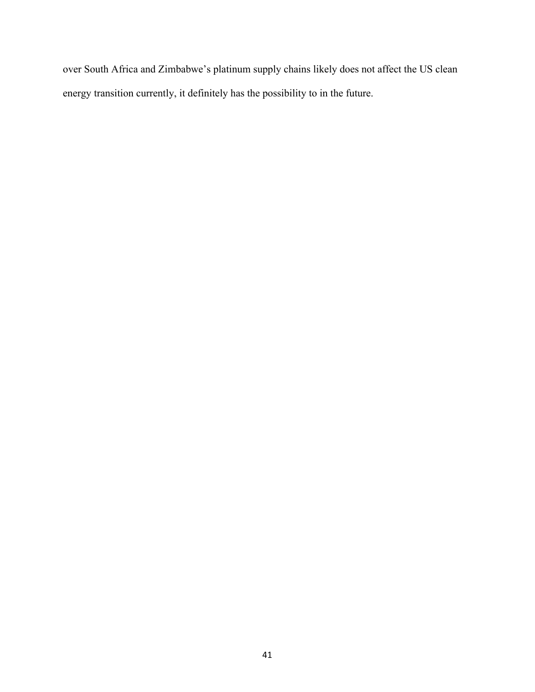over South Africa and Zimbabwe's platinum supply chains likely does not affect the US clean energy transition currently, it definitely has the possibility to in the future.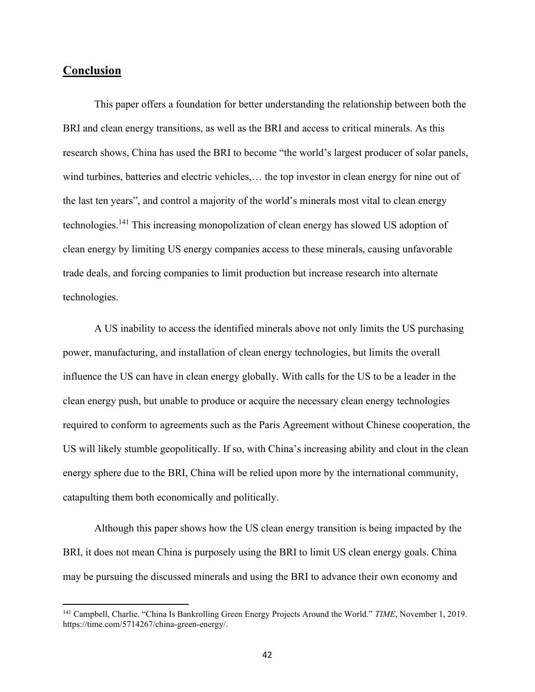# **Conclusion**

This paper offers a foundation for better understanding the relationship between both the BRI and clean energy transitions, as well as the BRI and access to critical minerals. As this research shows, China has used the BRI to become "the world's largest producer of solar panels, wind turbines, batteries and electric vehicles,… the top investor in clean energy for nine out of the last ten years", and control a majority of the world's minerals most vital to clean energy technologies.<sup>141</sup> This increasing monopolization of clean energy has slowed US adoption of clean energy by limiting US energy companies access to these minerals, causing unfavorable trade deals, and forcing companies to limit production but increase research into alternate technologies.

A US inability to access the identified minerals above not only limits the US purchasing power, manufacturing, and installation of clean energy technologies, but limits the overall influence the US can have in clean energy globally. With calls for the US to be a leader in the clean energy push, but unable to produce or acquire the necessary clean energy technologies required to conform to agreements such as the Paris Agreement without Chinese cooperation, the US will likely stumble geopolitically. If so, with China's increasing ability and clout in the clean energy sphere due to the BRI, China will be relied upon more by the international community, catapulting them both economically and politically.

Although this paper shows how the US clean energy transition is being impacted by the BRI, it does not mean China is purposely using the BRI to limit US clean energy goals. China may be pursuing the discussed minerals and using the BRI to advance their own economy and

<sup>141</sup> Campbell, Charlie. "China Is Bankrolling Green Energy Projects Around the World." *TIME*, November 1, 2019. https://time.com/5714267/china-green-energy/.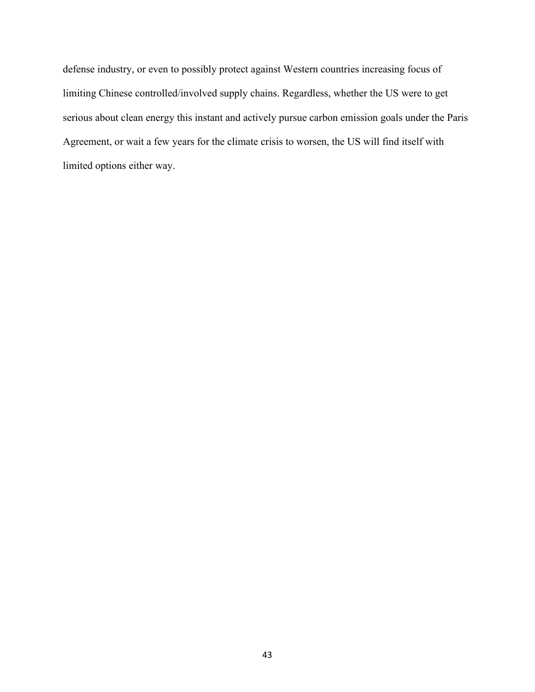defense industry, or even to possibly protect against Western countries increasing focus of limiting Chinese controlled/involved supply chains. Regardless, whether the US were to get serious about clean energy this instant and actively pursue carbon emission goals under the Paris Agreement, or wait a few years for the climate crisis to worsen, the US will find itself with limited options either way.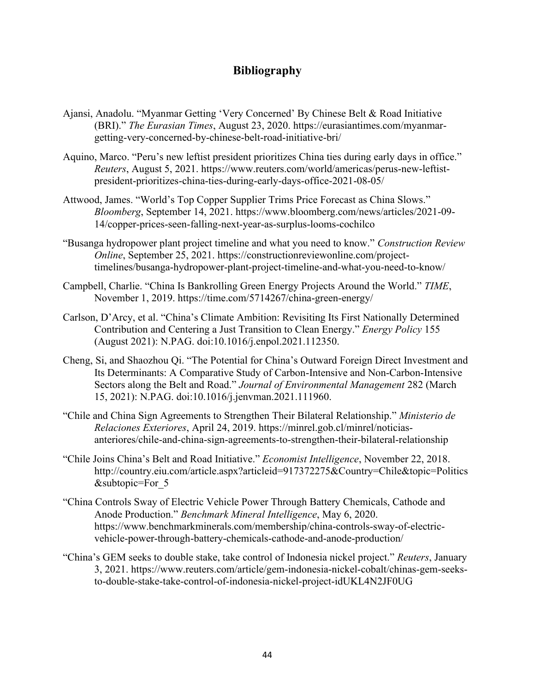# **Bibliography**

- Ajansi, Anadolu. "Myanmar Getting 'Very Concerned' By Chinese Belt & Road Initiative (BRI)." *The Eurasian Times*, August 23, 2020. https://eurasiantimes.com/myanmargetting-very-concerned-by-chinese-belt-road-initiative-bri/
- Aquino, Marco. "Peru's new leftist president prioritizes China ties during early days in office." *Reuters*, August 5, 2021. https://www.reuters.com/world/americas/perus-new-leftistpresident-prioritizes-china-ties-during-early-days-office-2021-08-05/
- Attwood, James. "World's Top Copper Supplier Trims Price Forecast as China Slows." *Bloomberg*, September 14, 2021. https://www.bloomberg.com/news/articles/2021-09- 14/copper-prices-seen-falling-next-year-as-surplus-looms-cochilco
- "Busanga hydropower plant project timeline and what you need to know." *Construction Review Online*, September 25, 2021. https://constructionreviewonline.com/projecttimelines/busanga-hydropower-plant-project-timeline-and-what-you-need-to-know/
- Campbell, Charlie. "China Is Bankrolling Green Energy Projects Around the World." *TIME*, November 1, 2019. https://time.com/5714267/china-green-energy/
- Carlson, D'Arcy, et al. "China's Climate Ambition: Revisiting Its First Nationally Determined Contribution and Centering a Just Transition to Clean Energy." *Energy Policy* 155 (August 2021): N.PAG. doi:10.1016/j.enpol.2021.112350.
- Cheng, Si, and Shaozhou Qi. "The Potential for China's Outward Foreign Direct Investment and Its Determinants: A Comparative Study of Carbon-Intensive and Non-Carbon-Intensive Sectors along the Belt and Road." *Journal of Environmental Management* 282 (March 15, 2021): N.PAG. doi:10.1016/j.jenvman.2021.111960.
- "Chile and China Sign Agreements to Strengthen Their Bilateral Relationship." *Ministerio de Relaciones Exteriores*, April 24, 2019. https://minrel.gob.cl/minrel/noticiasanteriores/chile-and-china-sign-agreements-to-strengthen-their-bilateral-relationship
- "Chile Joins China's Belt and Road Initiative." *Economist Intelligence*, November 22, 2018. http://country.eiu.com/article.aspx?articleid=917372275&Country=Chile&topic=Politics &subtopic=For\_5
- "China Controls Sway of Electric Vehicle Power Through Battery Chemicals, Cathode and Anode Production." *Benchmark Mineral Intelligence*, May 6, 2020. https://www.benchmarkminerals.com/membership/china-controls-sway-of-electricvehicle-power-through-battery-chemicals-cathode-and-anode-production/
- "China's GEM seeks to double stake, take control of Indonesia nickel project." *Reuters*, January 3, 2021. https://www.reuters.com/article/gem-indonesia-nickel-cobalt/chinas-gem-seeksto-double-stake-take-control-of-indonesia-nickel-project-idUKL4N2JF0UG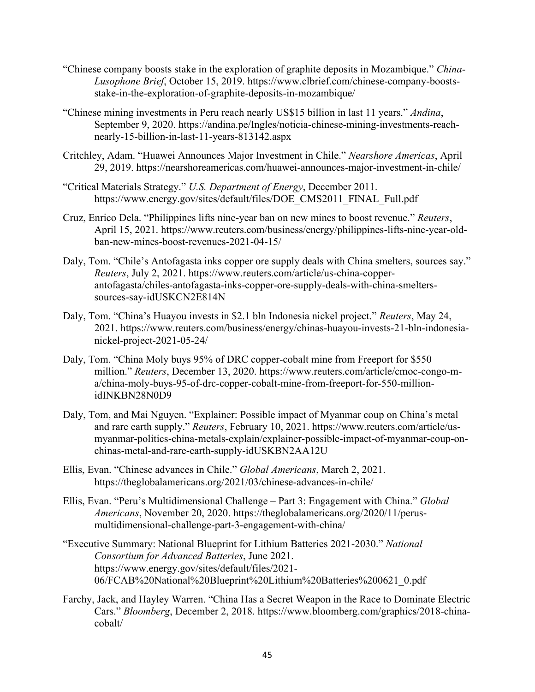- "Chinese company boosts stake in the exploration of graphite deposits in Mozambique." *China-Lusophone Brief*, October 15, 2019. https://www.clbrief.com/chinese-company-boostsstake-in-the-exploration-of-graphite-deposits-in-mozambique/
- "Chinese mining investments in Peru reach nearly US\$15 billion in last 11 years." *Andina*, September 9, 2020. https://andina.pe/Ingles/noticia-chinese-mining-investments-reachnearly-15-billion-in-last-11-years-813142.aspx
- Critchley, Adam. "Huawei Announces Major Investment in Chile." *Nearshore Americas*, April 29, 2019. https://nearshoreamericas.com/huawei-announces-major-investment-in-chile/
- "Critical Materials Strategy." *U.S. Department of Energy*, December 2011. https://www.energy.gov/sites/default/files/DOE\_CMS2011\_FINAL\_Full.pdf
- Cruz, Enrico Dela. "Philippines lifts nine-year ban on new mines to boost revenue." *Reuters*, April 15, 2021. https://www.reuters.com/business/energy/philippines-lifts-nine-year-oldban-new-mines-boost-revenues-2021-04-15/
- Daly, Tom. "Chile's Antofagasta inks copper ore supply deals with China smelters, sources say." *Reuters*, July 2, 2021. https://www.reuters.com/article/us-china-copperantofagasta/chiles-antofagasta-inks-copper-ore-supply-deals-with-china-smelterssources-say-idUSKCN2E814N
- Daly, Tom. "China's Huayou invests in \$2.1 bln Indonesia nickel project." *Reuters*, May 24, 2021. https://www.reuters.com/business/energy/chinas-huayou-invests-21-bln-indonesianickel-project-2021-05-24/
- Daly, Tom. "China Moly buys 95% of DRC copper-cobalt mine from Freeport for \$550 million." *Reuters*, December 13, 2020. https://www.reuters.com/article/cmoc-congo-ma/china-moly-buys-95-of-drc-copper-cobalt-mine-from-freeport-for-550-millionidINKBN28N0D9
- Daly, Tom, and Mai Nguyen. "Explainer: Possible impact of Myanmar coup on China's metal and rare earth supply." *Reuters*, February 10, 2021. https://www.reuters.com/article/usmyanmar-politics-china-metals-explain/explainer-possible-impact-of-myanmar-coup-onchinas-metal-and-rare-earth-supply-idUSKBN2AA12U
- Ellis, Evan. "Chinese advances in Chile." *Global Americans*, March 2, 2021. https://theglobalamericans.org/2021/03/chinese-advances-in-chile/
- Ellis, Evan. "Peru's Multidimensional Challenge Part 3: Engagement with China." *Global Americans*, November 20, 2020. https://theglobalamericans.org/2020/11/perusmultidimensional-challenge-part-3-engagement-with-china/
- "Executive Summary: National Blueprint for Lithium Batteries 2021-2030." *National Consortium for Advanced Batteries*, June 2021. https://www.energy.gov/sites/default/files/2021- 06/FCAB%20National%20Blueprint%20Lithium%20Batteries%200621\_0.pdf
- Farchy, Jack, and Hayley Warren. "China Has a Secret Weapon in the Race to Dominate Electric Cars." *Bloomberg*, December 2, 2018. https://www.bloomberg.com/graphics/2018-chinacobalt/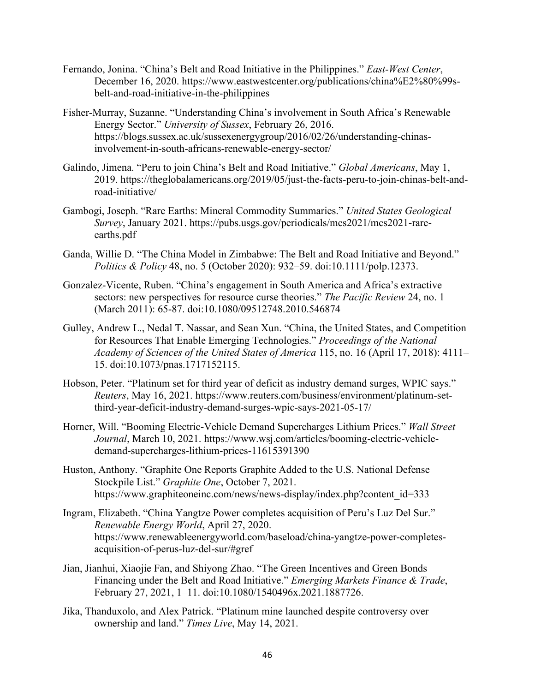- Fernando, Jonina. "China's Belt and Road Initiative in the Philippines." *East-West Center*, December 16, 2020. https://www.eastwestcenter.org/publications/china%E2%80%99sbelt-and-road-initiative-in-the-philippines
- Fisher-Murray, Suzanne. "Understanding China's involvement in South Africa's Renewable Energy Sector." *University of Sussex*, February 26, 2016. https://blogs.sussex.ac.uk/sussexenergygroup/2016/02/26/understanding-chinasinvolvement-in-south-africans-renewable-energy-sector/
- Galindo, Jimena. "Peru to join China's Belt and Road Initiative." *Global Americans*, May 1, 2019. https://theglobalamericans.org/2019/05/just-the-facts-peru-to-join-chinas-belt-androad-initiative/
- Gambogi, Joseph. "Rare Earths: Mineral Commodity Summaries." *United States Geological Survey*, January 2021. https://pubs.usgs.gov/periodicals/mcs2021/mcs2021-rareearths.pdf
- Ganda, Willie D. "The China Model in Zimbabwe: The Belt and Road Initiative and Beyond." *Politics & Policy* 48, no. 5 (October 2020): 932–59. doi:10.1111/polp.12373.
- Gonzalez-Vicente, Ruben. "China's engagement in South America and Africa's extractive sectors: new perspectives for resource curse theories." *The Pacific Review* 24, no. 1 (March 2011): 65-87. doi:10.1080/09512748.2010.546874
- Gulley, Andrew L., Nedal T. Nassar, and Sean Xun. "China, the United States, and Competition for Resources That Enable Emerging Technologies." *Proceedings of the National Academy of Sciences of the United States of America* 115, no. 16 (April 17, 2018): 4111– 15. doi:10.1073/pnas.1717152115.
- Hobson, Peter. "Platinum set for third year of deficit as industry demand surges, WPIC says." *Reuters*, May 16, 2021. https://www.reuters.com/business/environment/platinum-setthird-year-deficit-industry-demand-surges-wpic-says-2021-05-17/
- Horner, Will. "Booming Electric-Vehicle Demand Supercharges Lithium Prices." *Wall Street Journal*, March 10, 2021. https://www.wsj.com/articles/booming-electric-vehicledemand-supercharges-lithium-prices-11615391390
- Huston, Anthony. "Graphite One Reports Graphite Added to the U.S. National Defense Stockpile List." *Graphite One*, October 7, 2021. https://www.graphiteoneinc.com/news/news-display/index.php?content\_id=333
- Ingram, Elizabeth. "China Yangtze Power completes acquisition of Peru's Luz Del Sur." *Renewable Energy World*, April 27, 2020. https://www.renewableenergyworld.com/baseload/china-yangtze-power-completesacquisition-of-perus-luz-del-sur/#gref
- Jian, Jianhui, Xiaojie Fan, and Shiyong Zhao. "The Green Incentives and Green Bonds Financing under the Belt and Road Initiative." *Emerging Markets Finance & Trade*, February 27, 2021, 1–11. doi:10.1080/1540496x.2021.1887726.
- Jika, Thanduxolo, and Alex Patrick. "Platinum mine launched despite controversy over ownership and land." *Times Live*, May 14, 2021.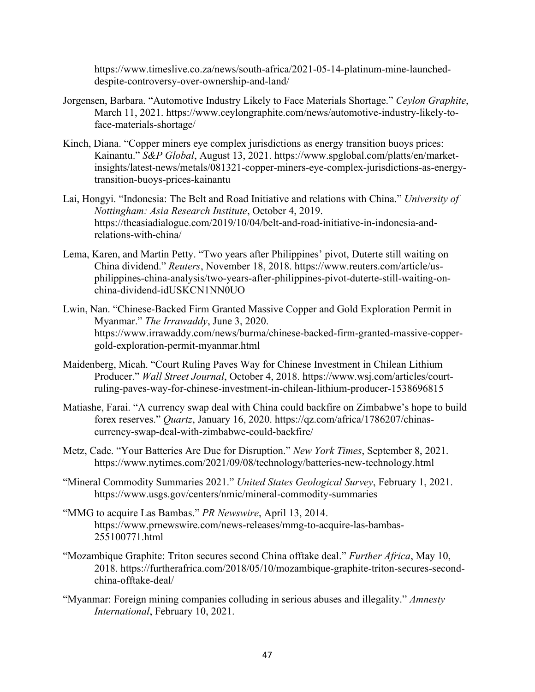https://www.timeslive.co.za/news/south-africa/2021-05-14-platinum-mine-launcheddespite-controversy-over-ownership-and-land/

- Jorgensen, Barbara. "Automotive Industry Likely to Face Materials Shortage." *Ceylon Graphite*, March 11, 2021. https://www.ceylongraphite.com/news/automotive-industry-likely-toface-materials-shortage/
- Kinch, Diana. "Copper miners eye complex jurisdictions as energy transition buoys prices: Kainantu." *S&P Global*, August 13, 2021. https://www.spglobal.com/platts/en/marketinsights/latest-news/metals/081321-copper-miners-eye-complex-jurisdictions-as-energytransition-buoys-prices-kainantu
- Lai, Hongyi. "Indonesia: The Belt and Road Initiative and relations with China." *University of Nottingham: Asia Research Institute*, October 4, 2019. https://theasiadialogue.com/2019/10/04/belt-and-road-initiative-in-indonesia-andrelations-with-china/
- Lema, Karen, and Martin Petty. "Two years after Philippines' pivot, Duterte still waiting on China dividend." *Reuters*, November 18, 2018. https://www.reuters.com/article/usphilippines-china-analysis/two-years-after-philippines-pivot-duterte-still-waiting-onchina-dividend-idUSKCN1NN0UO
- Lwin, Nan. "Chinese-Backed Firm Granted Massive Copper and Gold Exploration Permit in Myanmar." *The Irrawaddy*, June 3, 2020. https://www.irrawaddy.com/news/burma/chinese-backed-firm-granted-massive-coppergold-exploration-permit-myanmar.html
- Maidenberg, Micah. "Court Ruling Paves Way for Chinese Investment in Chilean Lithium Producer." *Wall Street Journal*, October 4, 2018. https://www.wsj.com/articles/courtruling-paves-way-for-chinese-investment-in-chilean-lithium-producer-1538696815
- Matiashe, Farai. "A currency swap deal with China could backfire on Zimbabwe's hope to build forex reserves." *Quartz*, January 16, 2020. https://qz.com/africa/1786207/chinascurrency-swap-deal-with-zimbabwe-could-backfire/
- Metz, Cade. "Your Batteries Are Due for Disruption." *New York Times*, September 8, 2021. https://www.nytimes.com/2021/09/08/technology/batteries-new-technology.html
- "Mineral Commodity Summaries 2021." *United States Geological Survey*, February 1, 2021. https://www.usgs.gov/centers/nmic/mineral-commodity-summaries
- "MMG to acquire Las Bambas." *PR Newswire*, April 13, 2014. https://www.prnewswire.com/news-releases/mmg-to-acquire-las-bambas-255100771.html
- "Mozambique Graphite: Triton secures second China offtake deal." *Further Africa*, May 10, 2018. https://furtherafrica.com/2018/05/10/mozambique-graphite-triton-secures-secondchina-offtake-deal/
- "Myanmar: Foreign mining companies colluding in serious abuses and illegality." *Amnesty International*, February 10, 2021.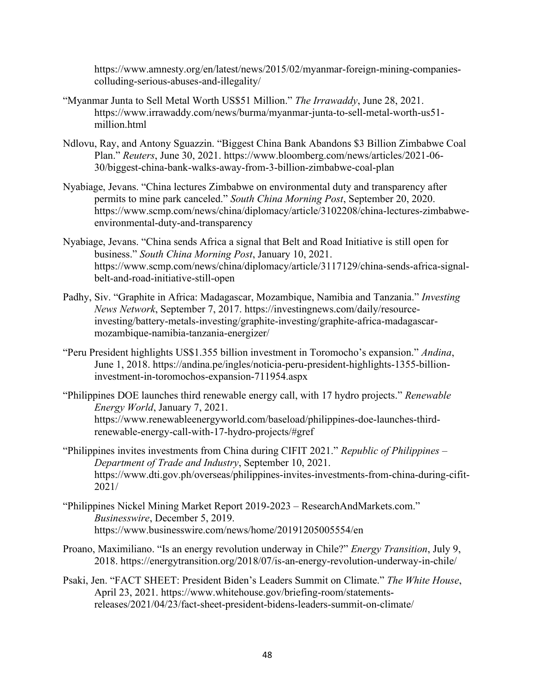https://www.amnesty.org/en/latest/news/2015/02/myanmar-foreign-mining-companiescolluding-serious-abuses-and-illegality/

- "Myanmar Junta to Sell Metal Worth US\$51 Million." *The Irrawaddy*, June 28, 2021. https://www.irrawaddy.com/news/burma/myanmar-junta-to-sell-metal-worth-us51 million.html
- Ndlovu, Ray, and Antony Sguazzin. "Biggest China Bank Abandons \$3 Billion Zimbabwe Coal Plan." *Reuters*, June 30, 2021. https://www.bloomberg.com/news/articles/2021-06- 30/biggest-china-bank-walks-away-from-3-billion-zimbabwe-coal-plan
- Nyabiage, Jevans. "China lectures Zimbabwe on environmental duty and transparency after permits to mine park canceled." *South China Morning Post*, September 20, 2020. https://www.scmp.com/news/china/diplomacy/article/3102208/china-lectures-zimbabweenvironmental-duty-and-transparency
- Nyabiage, Jevans. "China sends Africa a signal that Belt and Road Initiative is still open for business." *South China Morning Post*, January 10, 2021. https://www.scmp.com/news/china/diplomacy/article/3117129/china-sends-africa-signalbelt-and-road-initiative-still-open
- Padhy, Siv. "Graphite in Africa: Madagascar, Mozambique, Namibia and Tanzania." *Investing News Network*, September 7, 2017. https://investingnews.com/daily/resourceinvesting/battery-metals-investing/graphite-investing/graphite-africa-madagascarmozambique-namibia-tanzania-energizer/
- "Peru President highlights US\$1.355 billion investment in Toromocho's expansion." *Andina*, June 1, 2018. https://andina.pe/ingles/noticia-peru-president-highlights-1355-billioninvestment-in-toromochos-expansion-711954.aspx
- "Philippines DOE launches third renewable energy call, with 17 hydro projects." *Renewable Energy World*, January 7, 2021. https://www.renewableenergyworld.com/baseload/philippines-doe-launches-thirdrenewable-energy-call-with-17-hydro-projects/#gref
- "Philippines invites investments from China during CIFIT 2021." *Republic of Philippines – Department of Trade and Industry*, September 10, 2021. https://www.dti.gov.ph/overseas/philippines-invites-investments-from-china-during-cifit-2021/
- "Philippines Nickel Mining Market Report 2019-2023 ResearchAndMarkets.com." *Businesswire*, December 5, 2019. https://www.businesswire.com/news/home/20191205005554/en
- Proano, Maximiliano. "Is an energy revolution underway in Chile?" *Energy Transition*, July 9, 2018. https://energytransition.org/2018/07/is-an-energy-revolution-underway-in-chile/
- Psaki, Jen. "FACT SHEET: President Biden's Leaders Summit on Climate." *The White House*, April 23, 2021. https://www.whitehouse.gov/briefing-room/statementsreleases/2021/04/23/fact-sheet-president-bidens-leaders-summit-on-climate/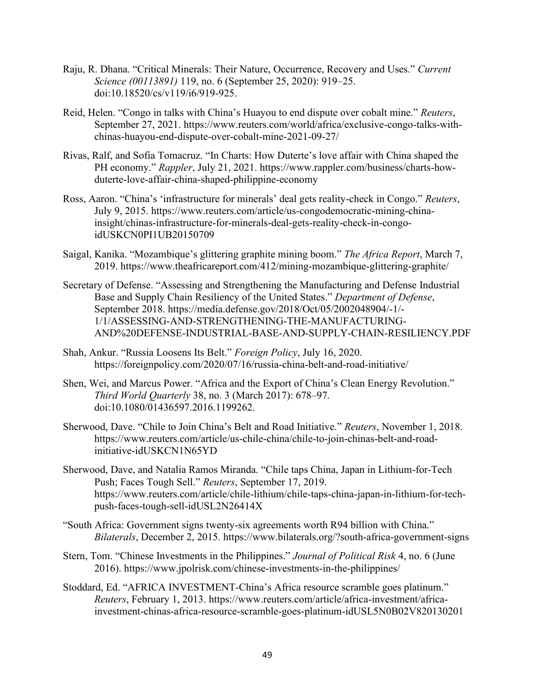- Raju, R. Dhana. "Critical Minerals: Their Nature, Occurrence, Recovery and Uses." *Current Science (00113891)* 119, no. 6 (September 25, 2020): 919–25. doi:10.18520/cs/v119/i6/919-925.
- Reid, Helen. "Congo in talks with China's Huayou to end dispute over cobalt mine." *Reuters*, September 27, 2021. https://www.reuters.com/world/africa/exclusive-congo-talks-withchinas-huayou-end-dispute-over-cobalt-mine-2021-09-27/
- Rivas, Ralf, and Sofia Tomacruz. "In Charts: How Duterte's love affair with China shaped the PH economy." *Rappler*, July 21, 2021. https://www.rappler.com/business/charts-howduterte-love-affair-china-shaped-philippine-economy
- Ross, Aaron. "China's 'infrastructure for minerals' deal gets reality-check in Congo." *Reuters*, July 9, 2015. https://www.reuters.com/article/us-congodemocratic-mining-chinainsight/chinas-infrastructure-for-minerals-deal-gets-reality-check-in-congoidUSKCN0PI1UB20150709
- Saigal, Kanika. "Mozambique's glittering graphite mining boom." *The Africa Report*, March 7, 2019. https://www.theafricareport.com/412/mining-mozambique-glittering-graphite/
- Secretary of Defense. "Assessing and Strengthening the Manufacturing and Defense Industrial Base and Supply Chain Resiliency of the United States." *Department of Defense*, September 2018. https://media.defense.gov/2018/Oct/05/2002048904/-1/- 1/1/ASSESSING-AND-STRENGTHENING-THE-MANUFACTURING-AND%20DEFENSE-INDUSTRIAL-BASE-AND-SUPPLY-CHAIN-RESILIENCY.PDF
- Shah, Ankur. "Russia Loosens Its Belt." *Foreign Policy*, July 16, 2020. https://foreignpolicy.com/2020/07/16/russia-china-belt-and-road-initiative/
- Shen, Wei, and Marcus Power. "Africa and the Export of China's Clean Energy Revolution." *Third World Quarterly* 38, no. 3 (March 2017): 678–97. doi:10.1080/01436597.2016.1199262.
- Sherwood, Dave. "Chile to Join China's Belt and Road Initiative." *Reuters*, November 1, 2018. https://www.reuters.com/article/us-chile-china/chile-to-join-chinas-belt-and-roadinitiative-idUSKCN1N65YD
- Sherwood, Dave, and Natalia Ramos Miranda. "Chile taps China, Japan in Lithium-for-Tech Push; Faces Tough Sell." *Reuters*, September 17, 2019. https://www.reuters.com/article/chile-lithium/chile-taps-china-japan-in-lithium-for-techpush-faces-tough-sell-idUSL2N26414X
- "South Africa: Government signs twenty-six agreements worth R94 billion with China." *Bilaterals*, December 2, 2015. https://www.bilaterals.org/?south-africa-government-signs
- Stern, Tom. "Chinese Investments in the Philippines." *Journal of Political Risk* 4, no. 6 (June 2016). https://www.jpolrisk.com/chinese-investments-in-the-philippines/
- Stoddard, Ed. "AFRICA INVESTMENT-China's Africa resource scramble goes platinum." *Reuters*, February 1, 2013. https://www.reuters.com/article/africa-investment/africainvestment-chinas-africa-resource-scramble-goes-platinum-idUSL5N0B02V820130201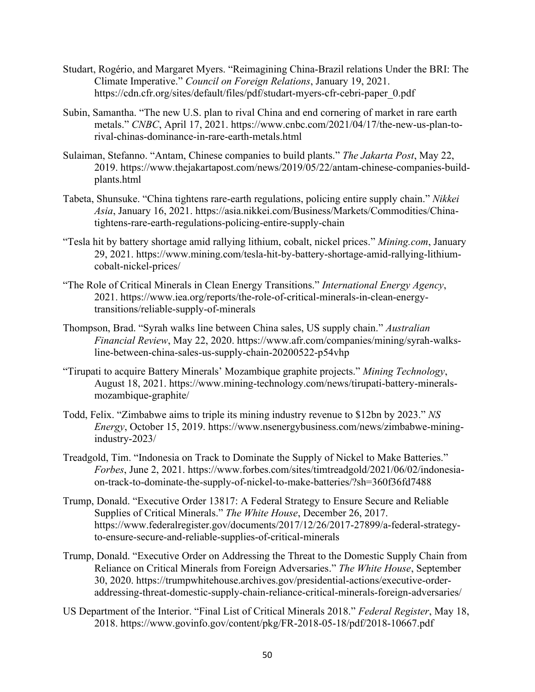- Studart, Rogério, and Margaret Myers. "Reimagining China-Brazil relations Under the BRI: The Climate Imperative." *Council on Foreign Relations*, January 19, 2021. https://cdn.cfr.org/sites/default/files/pdf/studart-myers-cfr-cebri-paper\_0.pdf
- Subin, Samantha. "The new U.S. plan to rival China and end cornering of market in rare earth metals." *CNBC*, April 17, 2021. https://www.cnbc.com/2021/04/17/the-new-us-plan-torival-chinas-dominance-in-rare-earth-metals.html
- Sulaiman, Stefanno. "Antam, Chinese companies to build plants." *The Jakarta Post*, May 22, 2019. https://www.thejakartapost.com/news/2019/05/22/antam-chinese-companies-buildplants.html
- Tabeta, Shunsuke. "China tightens rare-earth regulations, policing entire supply chain." *Nikkei Asia*, January 16, 2021. https://asia.nikkei.com/Business/Markets/Commodities/Chinatightens-rare-earth-regulations-policing-entire-supply-chain
- "Tesla hit by battery shortage amid rallying lithium, cobalt, nickel prices." *Mining.com*, January 29, 2021. https://www.mining.com/tesla-hit-by-battery-shortage-amid-rallying-lithiumcobalt-nickel-prices/
- "The Role of Critical Minerals in Clean Energy Transitions." *International Energy Agency*, 2021. https://www.iea.org/reports/the-role-of-critical-minerals-in-clean-energytransitions/reliable-supply-of-minerals
- Thompson, Brad. "Syrah walks line between China sales, US supply chain." *Australian Financial Review*, May 22, 2020. https://www.afr.com/companies/mining/syrah-walksline-between-china-sales-us-supply-chain-20200522-p54vhp
- "Tirupati to acquire Battery Minerals' Mozambique graphite projects." *Mining Technology*, August 18, 2021. https://www.mining-technology.com/news/tirupati-battery-mineralsmozambique-graphite/
- Todd, Felix. "Zimbabwe aims to triple its mining industry revenue to \$12bn by 2023." *NS Energy*, October 15, 2019. https://www.nsenergybusiness.com/news/zimbabwe-miningindustry-2023/
- Treadgold, Tim. "Indonesia on Track to Dominate the Supply of Nickel to Make Batteries." *Forbes*, June 2, 2021. https://www.forbes.com/sites/timtreadgold/2021/06/02/indonesiaon-track-to-dominate-the-supply-of-nickel-to-make-batteries/?sh=360f36fd7488
- Trump, Donald. "Executive Order 13817: A Federal Strategy to Ensure Secure and Reliable Supplies of Critical Minerals." *The White House*, December 26, 2017. https://www.federalregister.gov/documents/2017/12/26/2017-27899/a-federal-strategyto-ensure-secure-and-reliable-supplies-of-critical-minerals
- Trump, Donald. "Executive Order on Addressing the Threat to the Domestic Supply Chain from Reliance on Critical Minerals from Foreign Adversaries." *The White House*, September 30, 2020. https://trumpwhitehouse.archives.gov/presidential-actions/executive-orderaddressing-threat-domestic-supply-chain-reliance-critical-minerals-foreign-adversaries/
- US Department of the Interior. "Final List of Critical Minerals 2018." *Federal Register*, May 18, 2018. https://www.govinfo.gov/content/pkg/FR-2018-05-18/pdf/2018-10667.pdf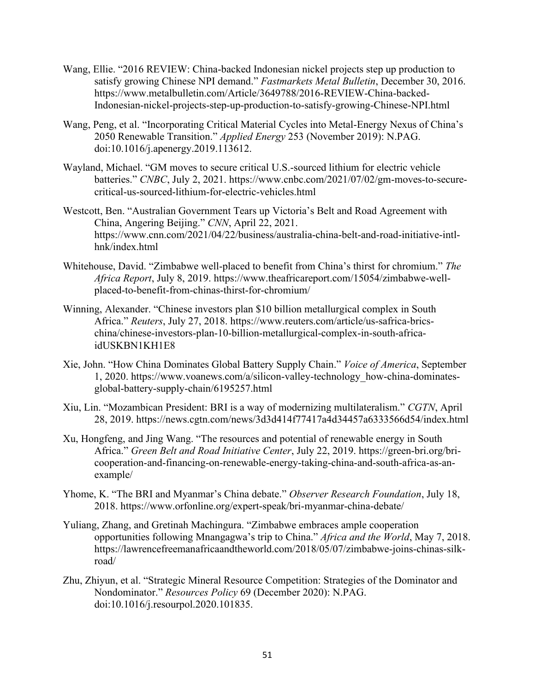- Wang, Ellie. "2016 REVIEW: China-backed Indonesian nickel projects step up production to satisfy growing Chinese NPI demand." *Fastmarkets Metal Bulletin*, December 30, 2016. https://www.metalbulletin.com/Article/3649788/2016-REVIEW-China-backed-Indonesian-nickel-projects-step-up-production-to-satisfy-growing-Chinese-NPI.html
- Wang, Peng, et al. "Incorporating Critical Material Cycles into Metal-Energy Nexus of China's 2050 Renewable Transition." *Applied Energy* 253 (November 2019): N.PAG. doi:10.1016/j.apenergy.2019.113612.
- Wayland, Michael. "GM moves to secure critical U.S.-sourced lithium for electric vehicle batteries." *CNBC*, July 2, 2021. https://www.cnbc.com/2021/07/02/gm-moves-to-securecritical-us-sourced-lithium-for-electric-vehicles.html
- Westcott, Ben. "Australian Government Tears up Victoria's Belt and Road Agreement with China, Angering Beijing." *CNN*, April 22, 2021. https://www.cnn.com/2021/04/22/business/australia-china-belt-and-road-initiative-intlhnk/index.html
- Whitehouse, David. "Zimbabwe well-placed to benefit from China's thirst for chromium." *The Africa Report*, July 8, 2019. https://www.theafricareport.com/15054/zimbabwe-wellplaced-to-benefit-from-chinas-thirst-for-chromium/
- Winning, Alexander. "Chinese investors plan \$10 billion metallurgical complex in South Africa." *Reuters*, July 27, 2018. https://www.reuters.com/article/us-safrica-bricschina/chinese-investors-plan-10-billion-metallurgical-complex-in-south-africaidUSKBN1KH1E8
- Xie, John. "How China Dominates Global Battery Supply Chain." *Voice of America*, September 1, 2020. https://www.voanews.com/a/silicon-valley-technology\_how-china-dominatesglobal-battery-supply-chain/6195257.html
- Xiu, Lin. "Mozambican President: BRI is a way of modernizing multilateralism." *CGTN*, April 28, 2019. https://news.cgtn.com/news/3d3d414f77417a4d34457a6333566d54/index.html
- Xu, Hongfeng, and Jing Wang. "The resources and potential of renewable energy in South Africa." *Green Belt and Road Initiative Center*, July 22, 2019. https://green-bri.org/bricooperation-and-financing-on-renewable-energy-taking-china-and-south-africa-as-anexample/
- Yhome, K. "The BRI and Myanmar's China debate." *Observer Research Foundation*, July 18, 2018. https://www.orfonline.org/expert-speak/bri-myanmar-china-debate/
- Yuliang, Zhang, and Gretinah Machingura. "Zimbabwe embraces ample cooperation opportunities following Mnangagwa's trip to China." *Africa and the World*, May 7, 2018. https://lawrencefreemanafricaandtheworld.com/2018/05/07/zimbabwe-joins-chinas-silkroad/
- Zhu, Zhiyun, et al. "Strategic Mineral Resource Competition: Strategies of the Dominator and Nondominator." *Resources Policy* 69 (December 2020): N.PAG. doi:10.1016/j.resourpol.2020.101835.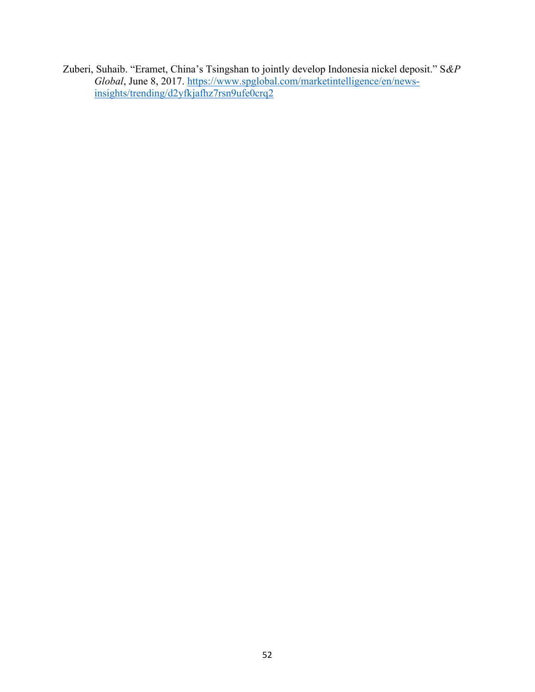Zuberi, Suhaib. "Eramet, China's Tsingshan to jointly develop Indonesia nickel deposit." S*&P Global*, June 8, 2017. [https://www.spglobal.com/marketintelligence/en/news](https://www.spglobal.com/marketintelligence/en/news-insights/trending/d2yfkjafhz7rsn9ufe0crq2)[insights/trending/d2yfkjafhz7rsn9ufe0crq2](https://www.spglobal.com/marketintelligence/en/news-insights/trending/d2yfkjafhz7rsn9ufe0crq2)